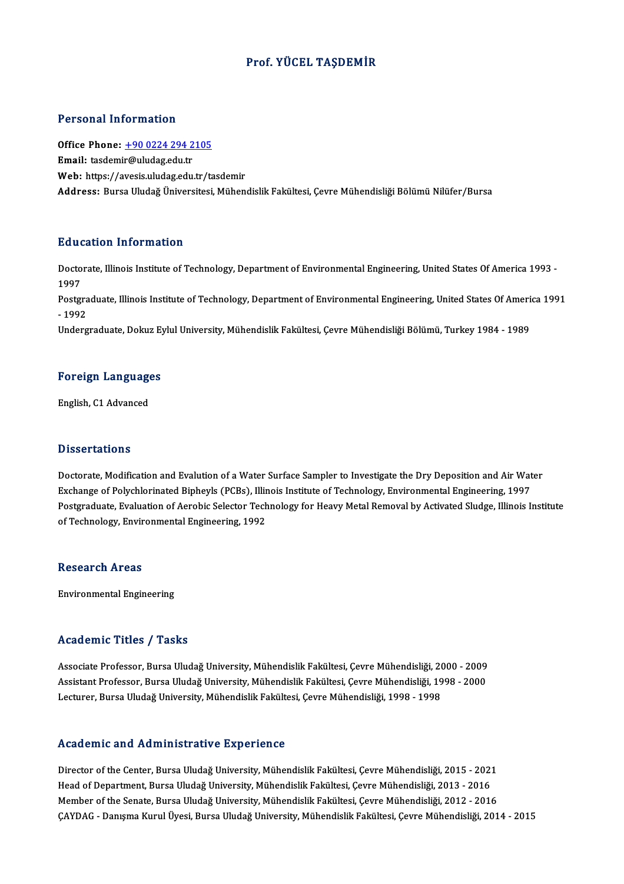### Prof. YÜCEL TAŞDEMİR

### Personal Information

Office Phone: +90 0224 294 2105 Email: tasdemi[r@uludag.edu.tr](tel:+90 0224 294 2105) Web: https://avesis.uludag.edu.tr/tasdemir Address: Bursa Uludağ Üniversitesi, Mühendislik Fakültesi, Cevre Mühendisliği Bölümü Nilüfer/Bursa

### Education Information

**Education Information**<br>Doctorate, Illinois Institute of Technology, Department of Environmental Engineering, United States Of America 1993 -<br>1997 Bata<br>Docto<br>1997<br>Bostev Doctorate, Illinois Institute of Technology, Department of Environmental Engineering, United States Of America 1993<br>1997<br>Postgraduate, Illinois Institute of Technology, Department of Environmental Engineering, United State 1997<br>Postgra<br>- 1992<br>Underg Postgraduate, Illinois Institute of Technology, Department of Environmental Engineering, United States Of Ameri<br>- 1992<br>Undergraduate, Dokuz Eylul University, Mühendislik Fakültesi, Çevre Mühendisliği Bölümü, Turkey 1984 ondergraduate, Dokuz Ey<br>Foreign Languages

# <mark>Foreign Languag</mark><br>English, C1 Advanced

English, C1 Advanced<br>Dissertations

**Dissertations<br>Doctorate, Modification and Evalution of a Water Surface Sampler to Investigate the Dry Deposition and Air Water<br>Evabange of Polyghlarinated Binbeyls (BCBs), Illinois Institute of Technology, Environmental E** Excess cases is<br>Doctorate, Modification and Evalution of a Water Surface Sampler to Investigate the Dry Deposition and Air Wat<br>Exchange of Polychlorinated Bipheyls (PCBs), Illinois Institute of Technology, Environmental En Doctorate, Modification and Evalution of a Water Surface Sampler to Investigate the Dry Deposition and Air Water<br>Exchange of Polychlorinated Bipheyls (PCBs), Illinois Institute of Technology, Environmental Engineering, 199 Exchange of Polychlorinated Bipheyls (PCBs), Illinois Institute of Technology, Environmental Engineering, 1997<br>Postgraduate, Evaluation of Aerobic Selector Technology for Heavy Metal Removal by Activated Sludge, Illinois I

### **Research Areas**

Environmental Engineering

### Academic Titles / Tasks

Associate Professor, Bursa Uludağ University, Mühendislik Fakültesi, Çevre Mühendisliği, 2000 - 2009 Associate Professor, Bursa Uludağ University, Mühendislik Fakültesi, Çevre Mühendisliği, 2000 - 2009<br>Assistant Professor, Bursa Uludağ University, Mühendislik Fakültesi, Çevre Mühendisliği, 1998 - 2000<br>Lecturer, Bursa Ulud Associate Professor, Bursa Uludağ University, Mühendislik Fakültesi, Çevre Mühendisliği, 2(<br>Assistant Professor, Bursa Uludağ University, Mühendislik Fakültesi, Çevre Mühendisliği, 19<br>Lecturer, Bursa Uludağ University, Müh Lecturer, Bursa Uludağ University, Mühendislik Fakültesi, Çevre Mühendisliği, 1998 - 1998<br>Academic and Administrative Experience

Director of the Center, Bursa Uludağ University, Mühendislik Fakültesi, Çevre Mühendisliği, 2015 - 2021 Head office and Hammisticative Enperience<br>Director of the Center, Bursa Uludağ University, Mühendislik Fakültesi, Çevre Mühendisliği, 2015 - 202:<br>Head of Department, Bursa Uludağ University, Mühendislik Fakültesi, Çevre Mü Director of the Center, Bursa Uludağ University, Mühendislik Fakültesi, Çevre Mühendisliği, 2015 - 2021<br>Head of Department, Bursa Uludağ University, Mühendislik Fakültesi, Çevre Mühendisliği, 2013 - 2016<br>Member of the Sena Member of the Senate, Bursa Uludağ University, Mühendislik Fakültesi, Çevre Mühendisliği, 2012 - 2016<br>ÇAYDAG - Danışma Kurul Üyesi, Bursa Uludağ University, Mühendislik Fakültesi, Çevre Mühendisliği, 2014 - 2015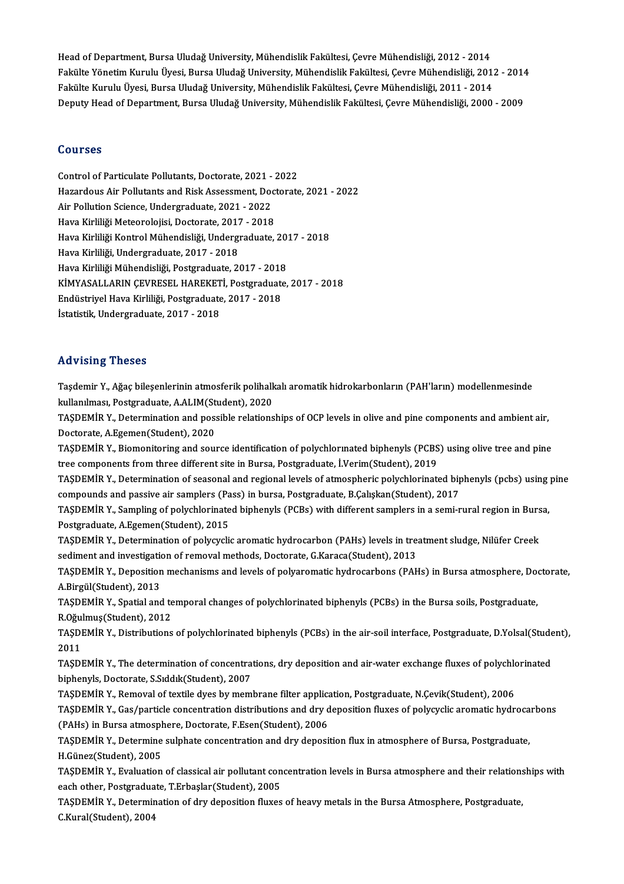Head of Department, Bursa Uludağ University, Mühendislik Fakültesi, Çevre Mühendisliği, 2012 - 2014<br>Fakülte Vänetim Kumılı Üyesi, Bursa Uludağ University, Mühendislik Fakültesi, Çevre Mühendisliği, 2012 - 2014 Head of Department, Bursa Uludağ University, Mühendislik Fakültesi, Çevre Mühendisliği, 2012 - 2014<br>Fakülte Yönetim Kurulu Üyesi, Bursa Uludağ University, Mühendislik Fakültesi, Çevre Mühendisliği, 2012 - 2014<br>Fakülte Kuru Head of Department, Bursa Uludağ University, Mühendislik Fakültesi, Çevre Mühendisliği, 2012 - 2014<br>Fakülte Yönetim Kurulu Üyesi, Bursa Uludağ University, Mühendislik Fakültesi, Çevre Mühendisliği, 2011<br>Fakülte Kurulu Üyes Fakülte Yönetim Kurulu Üyesi, Bursa Uludağ University, Mühendislik Fakültesi, Çevre Mühendisliği, 2012 - 2014<br>Fakülte Kurulu Üyesi, Bursa Uludağ University, Mühendislik Fakültesi, Çevre Mühendisliği, 2011 - 2014<br>Deputy Hea

### Courses

Control of Particulate Pollutants, Doctorate, 2021 - 2022 Hazardous Air Pollutants and Risk Assessment, Doctorate, 2021 - 2022 Air Pollution Science, Undergraduate, 2021 - 2022 Hazardous Air Pollutants and Risk Assessment, Doc<br>Air Pollution Science, Undergraduate, 2021 - 2022<br>Hava Kirliliği Meteorolojisi, Doctorate, 2017 - 2018<br>Hava Kirliliği Kontral Mühandisliği, Undergraduate Air Pollution Science, Undergraduate, 2021 - 2022<br>Hava Kirliliği Meteorolojisi, Doctorate, 2017 - 2018<br>Hava Kirliliği Kontrol Mühendisliği, Undergraduate, 2017 - 2018<br>Hava Kirliliği Undergraduate, 2017, 2019 Hava Kirliliği Meteorolojisi, Doctorate, 2017<br>Hava Kirliliği Kontrol Mühendisliği, Undergr<br>Hava Kirliliği, Undergraduate, 2017 - 2018<br>Hava Kirliliği Mühendisliği, Bostaraduate, 21 Hava Kirliliği Kontrol Mühendisliği, Undergraduate, 2013<br>Hava Kirliliği, Undergraduate, 2017 - 2018<br>Hava Kirliliği Mühendisliği, Postgraduate, 2017 - 2018<br>KİMVASALLARIN CEVRESEL HAREKETİ, Rostgraduate Hava Kirliliği, Undergraduate, 2017 - 2018<br>Hava Kirliliği Mühendisliği, Postgraduate, 2017 - 2018<br>KİMYASALLARIN ÇEVRESEL HAREKETİ, Postgraduate, 2017 - 2018<br>Endüstrivel Have Kirliliği, Postgraduata, 2017 - 2019 Hava Kirliliği Mühendisliği, Postgraduate, 2017 - 2018<br>KİMYASALLARIN ÇEVRESEL HAREKETİ, Postgraduate<br>Endüstriyel Hava Kirliliği, Postgraduate, 2017 - 2018<br>İstatistik Undergraduate, 2017 - 2019 Endüstriyel Hava Kirliliği, Postgraduate, 2017 - 2018<br>İstatistik, Undergraduate, 2017 - 2018

### Advising Theses

Advising Theses<br>Taşdemir Y., Ağaç bileşenlerinin atmosferik polihalkalı aromatik hidrokarbonların (PAH'ların) modellenmesinde<br>kullanılması, Restaraduata, A.ALIM(Student), 2020 raa vasing "risses"<br>Taşdemir Y., Ağaç bileşenlerinin atmosferik polihalk<br>kullanılması, Postgraduate, A.ALIM(Student), 2020<br>TASDEMİP Y., Determination and nossible relations kullanılması, Postgraduate, A.ALIM(Student), 2020

TAŞDEMİR Y., Determination and possible relationships of OCP levels in olive and pine components and ambient air,<br>Doctorate, A.Egemen(Student), 2020 TAŞDEMİR Y., Determination and possible relationships of OCP levels in olive and pine components and ambient air,<br>Doctorate, A.Egemen(Student), 2020<br>TAŞDEMİR Y., Biomonitoring and source identification of polychlorınated b

Doctorate, A.Egemen(Student), 2020<br>TAŞDEMİR Y., Biomonitoring and source identification of polychlormated biphenyls (PCBS<br>tree components from three different site in Bursa, Postgraduate, İ.Verim(Student), 2019<br>TASDEMİR Y. TAŞDEMİR Y., Biomonitoring and source identification of polychlormated biphenyls (PCBS) using olive tree and pine<br>tree components from three different site in Bursa, Postgraduate, İ.Verim(Student), 2019<br>TAŞDEMİR Y., Determ

tree components from three different site in Bursa, Postgraduate, İ.Verim(Student), 2019<br>TAŞDEMİR Y., Determination of seasonal and regional levels of atmospheric polychlorinated biphenyls (pcbs) using pine<br>compounds and p TAŞDEMİR Y., Determination of seasonal and regional levels of atmospheric polychlorinated biphenyls (pcbs) using<br>compounds and passive air samplers (Pass) in bursa, Postgraduate, B.Çalışkan(Student), 2017<br>TAŞDEMİR Y., Samp

compounds and passive air samplers (Pa<br>TAŞDEMİR Y., Sampling of polychlorinate<br>Postgraduate, A.Egemen(Student), 2015<br>TASDEMİR Y., Datarmination of polygyeli TAŞDEMİR Y., Sampling of polychlorinated biphenyls (PCBs) with different samplers in a semi-rural region in Burs<br>Postgraduate, A.Egemen(Student), 2015<br>TAŞDEMİR Y., Determination of polycyclic aromatic hydrocarbon (PAHs) le

Postgraduate, A.Egemen(Student), 2015<br>TAŞDEMİR Y., Determination of polycyclic aromatic hydrocarbon (PAHs) levels in trem<br>sediment and investigation of removal methods, Doctorate, G.Karaca(Student), 2013<br>TASDEMİR Y. Denosi

TAŞDEMİR Y., Determination of polycyclic aromatic hydrocarbon (PAHs) levels in treatment sludge, Nilüfer Creek<br>sediment and investigation of removal methods, Doctorate, G.Karaca(Student), 2013<br>TAŞDEMİR Y., Deposition mecha Sediment and investigation<br>TAŞDEMİR Y., Deposition<br>A.Birgül(Student), 2013<br>TASDEMİR V. Spatial and TAŞDEMİR Y., Deposition mechanisms and levels of polyaromatic hydrocarbons (PAHs) in Bursa atmosphere, Door<br>A.Birgül(Student), 2013<br>TAŞDEMİR Y., Spatial and temporal changes of polychlorinated biphenyls (PCBs) in the Bursa

A.Birgül(Student), 2013<br>TAŞDEMİR Y., Spatial and te<br>R.Oğulmuş(Student), 2012<br>TASDEMİR Y. Distributions TAŞDEMİR Y., Spatial and temporal changes of polychlorinated biphenyls (PCBs) in the Bursa soils, Postgraduate,<br>R.Oğulmuş(Student), 2012<br>TAŞDEMİR Y., Distributions of polychlorinated biphenyls (PCBs) in the air-soil interf

R Oğu<br>TAŞDI<br>2011<br>TASDI TAŞDEMİR Y., Distributions of polychlorinated biphenyls (PCBs) in the air-soil interface, Postgraduate, D.Yolsal(Stude<br>2011<br>TAŞDEMİR Y., The determination of concentrations, dry deposition and air-water exchange fluxes of

2011<br>TAŞDEMİR Y., The determination of concentrations, dry deposition and air-water exchange fluxes of polychlorinated<br>biphenyls, Doctorate, S.Sıddık(Student), 2007 TAŞDEMİR Y., The determination of concentrations, dry deposition and air-water exchange fluxes of polychic<br>biphenyls, Doctorate, S.Sıddık(Student), 2007<br>TAŞDEMİR Y., Removal of textile dyes by membrane filter application,

biphenyls, Doctorate, S.Sıddık(Student), 2007<br>TAŞDEMİR Y., Removal of textile dyes by membrane filter application, Postgraduate, N.Çevik(Student), 2006<br>TAŞDEMİR Y., Gas/particle concentration distributions and dry depositi TAŞDEMİR Y., Removal of textile dyes by membrane filter applicated at the State Concentration distributions and dry depending at mosphere, Doctorate, F.Esen(Student), 2006<br>TASDEMIR Y., Gas/particle concentration distributi TAŞDEMİR Y., Gas/particle concentration distributions and dry deposition fluxes of polycyclic aromatic hydroca<br>(PAHs) in Bursa atmosphere, Doctorate, F.Esen(Student), 2006<br>TAŞDEMİR Y., Determine sulphate concentration and

(PAHs) in Bursa atmosph<br>TAŞDEMİR Y., Determine<br>H.Günez(Student), 2005<br>TASDEMİR Y. Evolustion TAŞDEMİR Y., Determine sulphate concentration and dry deposition flux in atmosphere of Bursa, Postgraduate,<br>H.Günez(Student), 2005<br>TAŞDEMİR Y., Evaluation of classical air pollutant concentration levels in Bursa atmosphere

H.Günez(Student), 2005<br>TAŞDEMİR Y., Evaluation of classical air pollutant con<br>each other, Postgraduate, T.Erbaşlar(Student), 2005<br>TASDEMİR Y., Determination of duy denosition fluyes TAŞDEMİR Y., Evaluation of classical air pollutant concentration levels in Bursa atmosphere and their relations<br>each other, Postgraduate, T.Erbaşlar(Student), 2005<br>TAŞDEMİR Y., Determination of dry deposition fluxes of hea

each other, Postgraduate, T.Erbaşlar(Student), 2005<br>TAŞDEMİR Y., Determination of dry deposition fluxes of heavy metals in the Bursa Atmosphere, Postgraduate,<br>C.Kural(Student), 2004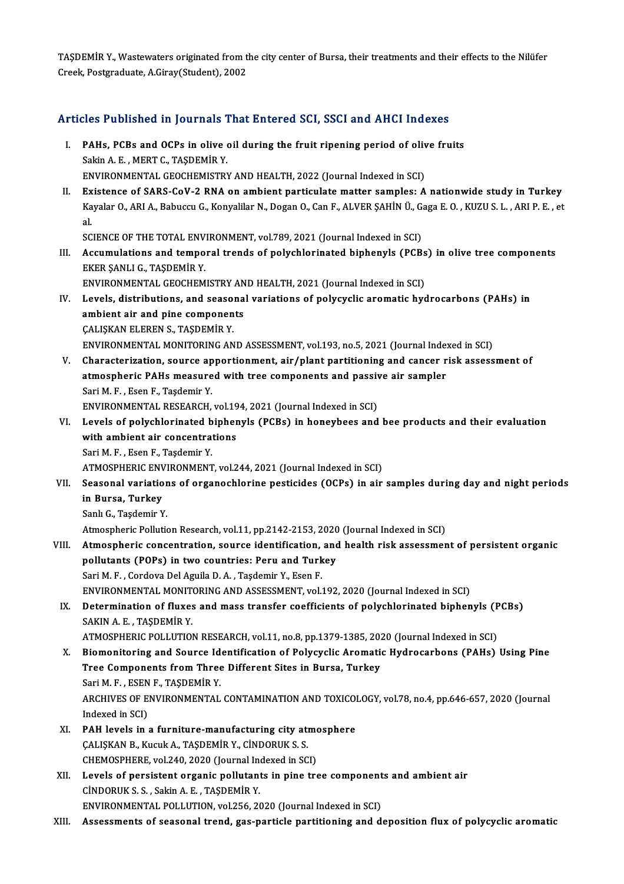TAŞDEMİR Y., Wastewaters originated from the city center of Bursa, their treatments and their effects to the Nilüfer<br>Creek Pestareduate A Giray(Student), 2002 TAŞDEMİR Y., Wastewaters originated from t<br>Creek, Postgraduate, A.Giray(Student), 2002

# Creek, Postgraduate, A.Giray(Student), 2002<br>Articles Published in Journals That Entered SCI, SSCI and AHCI Indexes

- rticles Published in Journals That Entered SCI, SSCI and AHCI Indexes<br>I. PAHs, PCBs and OCPs in olive oil during the fruit ripening period of olive fruits<br>Sakin A.E. MERT.C. TASDEMIR V SAKINA.<br>PAHs, PCBs and OCPs in olive<br>Sakin A.E., MERT C., TAŞDEMİR Y.<br>ENVIRONMENTAL CEOCHEMISTRY PAHs, PCBs and OCPs in olive oil during the fruit ripening period of oliver.<br>Sakin A. E., MERT C., TAŞDEMİR Y.<br>ENVIRONMENTAL GEOCHEMISTRY AND HEALTH, 2022 (Journal Indexed in SCI)<br>Existence of SABS CoV. 2 BNA on ambient pe Sakin A. E. , MERT C., TAŞDEMİR Y.<br>ENVIRONMENTAL GEOCHEMISTRY AND HEALTH, 2022 (Journal Indexed in SCI)<br>II. Existence of SARS-CoV-2 RNA on ambient particulate matter samples: A nationwide study in Turkey
- ENVIRONMENTAL GEOCHEMISTRY AND HEALTH, 2022 (Journal Indexed in SCI)<br>Existence of SARS-CoV-2 RNA on ambient particulate matter samples: A nationwide study in Turkey<br>Kayalar O., ARI A., Babuccu G., Konyalilar N., Dogan O., Ex<br>Ka<br>al Kayalar O., ARI A., Babuccu G., Konyalilar N., Dogan O., Can F., ALVER ŞAHİN Ü., G.<br>al.<br>SCIENCE OF THE TOTAL ENVIRONMENT, vol.789, 2021 (Journal Indexed in SCI)<br>Accumulations and temporal trands of polyablerinated binbonyl

al.<br>SCIENCE OF THE TOTAL ENVIRONMENT, vol.789, 2021 (Journal Indexed in SCI)<br>III. Accumulations and temporal trends of polychlorinated biphenyls (PCBs) in olive tree components<br>EVER SANLLC, TASDEMIR V SCIENCE OF THE TOTAL ENVIRONMENT, vol.789, 2021 (Journal Indexed in SCI)<br>Accumulations and temporal trends of polychlorinated biphenyls (PCB:<br>EKER ŞANLI G., TAŞDEMİR Y.<br>ENVIRONMENTAL GEOCHEMISTRY AND HEALTH, 2021 (Journal Accumulations and temporal trends of polychlorinated biphenyls (PCBs)<br>EKER ŞANLI G., TAŞDEMİR Y.<br>ENVIRONMENTAL GEOCHEMISTRY AND HEALTH, 2021 (Journal Indexed in SCI)<br>Lavels, distributions, and sessenal variations of polygy

- IV. Levels, distributions, and seasonal variations of polycyclic aromatic hydrocarbons (PAHs) in ENVIRONMENTAL GEOCHEMISTRY AN<br>Levels, distributions, and seasona<br>ambient air and pine components<br>CALISKAN ELEBEN S. TASDEMIR V Levels, distributions, and seaso:<br>ambient air and pine componen<br>CALISKAN ELEREN S., TASDEMİR Y.<br>ENWIDONMENTAL MONITOPINC AN CALIŞKAN ELEREN S., TAŞDEMİR Y.<br>ENVIRONMENTAL MONITORING AND ASSESSMENT, vol.193, no.5, 2021 (Journal Indexed in SCI)
- V. Characterization, source apportionment, air/plant partitioning and cancer risk assessment of ENVIRONMENTAL MONITORING AND ASSESSMENT, vol.193, no.5, 2021 (Journal Inde:<br>Characterization, source apportionment, air/plant partitioning and cancer r<br>atmospheric PAHs measured with tree components and passive air sampler Characterization, source ap<br>atmospheric PAHs measure<br>Sari M. F., Esen F., Taşdemir Y.<br>ENVIRONMENTAL PESEARCH atmospheric PAHs measured with tree components and passiver<br>Sari M. F. , Esen F., Taşdemir Y.<br>ENVIRONMENTAL RESEARCH, vol.194, 2021 (Journal Indexed in SCI)<br>Lavels of nolvehlorinated binbonyls (BCBs) in boneyboos and ENVIRONMENTAL RESEARCH, vol.194, 2021 (Journal Indexed in SCI)
- Sari M. F. , Esen F., Taşdemir Y.<br>ENVIRONMENTAL RESEARCH, vol.194, 2021 (Journal Indexed in SCI)<br>VI. Levels of polychlorinated biphenyls (PCBs) in honeybees and bee products and their evaluation<br>with ambient air concentrat Sari M.F., Esen F., Taşdemir Y.

ATMOSPHERIC ENVIRONMENT, vol.244, 2021 (Journal Indexed in SCI)

- VII. Seasonal variations of organochlorine pesticides (OCPs) in air samples during day and night periods ATMOSPHERIC ENV<br>Seasonal variatio<br>in Bursa, Turkey<br>Sank C. Tagdamir V Seasonal variation<br>in Bursa, Turkey<br>Sanlı G., Taşdemir Y.<br>Atmospherie Bollutie in Bursa, Turkey<br>Sanlı G., Taşdemir Y.<br>Atmospheric Pollution Research, vol.11, pp.2142-2153, 2020 (Journal Indexed in SCI)<br>Atmospheric concentration, course identification, and health rick assessmen
	-

- Sanlı G., Taşdemir Y.<br>Atmospheric Pollution Research, vol.11, pp.2142-2153, 2020 (Journal Indexed in SCI)<br>VIII. Atmospheric concentration, source identification, and health risk assessment of persistent organic<br>pollutants Atmospheric Pollution Research, vol.11, pp.2142-2153, 2020<br>Atmospheric concentration, source identification, and<br>pollutants (POPs) in two countries: Peru and Turkey<br>Sari M.E. Cardava Del Aguila D.A. Tacdamir V. Eean E Sari M.F., Cordova Del Aguila D.A., Taşdemir Y., Esen F. pollutants (POPs) in two countries: Peru and Turkey<br>Sari M. F. , Cordova Del Aguila D. A. , Taşdemir Y., Esen F.<br>ENVIRONMENTAL MONITORING AND ASSESSMENT, vol.192, 2020 (Journal Indexed in SCI)<br>Determination of fluves and m
- IX. Determination of fluxes and mass transfer coefficients of polychlorinated biphenyls (PCBs)<br>SAKIN A.E., TASDEMIR Y. ENVIRONMENTAL MONIT<br>Determination of fluxes<br>SAKIN A. E. , TAŞDEMİR Y.<br>ATMOSPHERIC POLLUTION Determination of fluxes and mass transfer coefficients of polychlorinated biphenyls (F<br>SAKIN A. E. , TAŞDEMİR Y.<br>ATMOSPHERIC POLLUTION RESEARCH, vol.11, no.8, pp.1379-1385, 2020 (Journal Indexed in SCI)<br>Piamonitaring and S
- X. Biomonitoring and Source Identification of Polycyclic Aromatic Hydrocarbons (PAHs) Using Pine ATMOSPHERIC POLLUTION RESEARCH, vol.11, no.8, pp.1379-1385, 202<br>Biomonitoring and Source Identification of Polycyclic Aromatic<br>Tree Components from Three Different Sites in Bursa, Turkey<br>Sori M.E., ESEN E. TASDEMIP V Tree Components from Three Different Sites in Bursa, Turkey ARCHIVES OF ENVIRONMENTAL CONTAMINATION AND TOXICOLOGY, vol.78, no.4, pp.646-657, 2020 (Journal Indexed in SCI) Sari M. F., ESEN F., TASDEMİR Y. ARCHIVES OF ENVIRONMENTAL CONTAMINATION AND TOXICOI<br>Indexed in SCI)<br>XI. PAH levels in a furniture-manufacturing city atmosphere<br>CALISVAN B. Vuguk A. TASDEMIR Y. CINDOBILY S. S.
- Indexed in SCI)<br>PAH levels in a furniture-manufacturing city at:<br>ÇALIŞKAN B., Kucuk A., TAŞDEMİR Y., CİNDORUK S. S.<br>CHEMOSPHERE vel 240, 2020 (Jaurnal Indexed in SC PAH levels in a furniture-manufacturing city atmo<br>CALISKAN B., Kucuk A., TASDEMIR Y., CINDORUK S. S.<br>CHEMOSPHERE, vol.240, 2020 (Journal Indexed in SCI)<br>Lavels of persistent excapis pollutants in pine tre CALISKAN B., Kucuk A., TASDEMIR Y., CINDORUK S. S.<br>CHEMOSPHERE, vol.240, 2020 (Journal Indexed in SCI)<br>XII. Levels of persistent organic pollutants in pine tree components and ambient air
- CİNDORUKS.S. ,SakinA.E. ,TAŞDEMİRY. ENVIRONMENTAL POLLUTION, vol.256, 2020 (Journal Indexed in SCI)
- XIII. Assessments of seasonal trend, gas-particle partitioning and deposition flux of polycyclic aromatic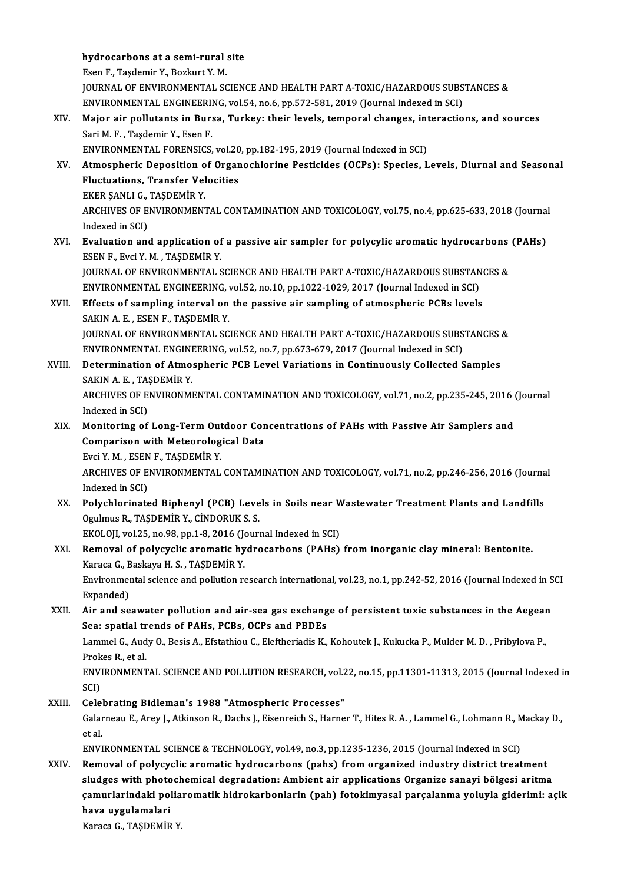## hydrocarbons at a semi-rural site<br>Feen E. Teedemin Y. Begluut V.M **hydrocarbons at a semi-rural**<br>Esen F., Taşdemir Y., Bozkurt Y. M.<br>JOUPNAL OF ENVURONMENTAL SC

hydrocarbons at a semi-rural site<br>Esen F., Taşdemir Y., Bozkurt Y. M.<br>JOURNAL OF ENVIRONMENTAL SCIENCE AND HEALTH PART A-TOXIC/HAZARDOUS SUBSTANCES &<br>ENVIRONMENTAL ENCINEERING yol 54 no.6 nn 573 591 3010 (Journal Indoved i Esen F., Taşdemir Y., Bozkurt Y. M.<br>JOURNAL OF ENVIRONMENTAL SCIENCE AND HEALTH PART A-TOXIC/HAZARDOUS SUBS<br>ENVIRONMENTAL ENGINEERING, vol.54, no.6, pp.572-581, 2019 (Journal Indexed in SCI)<br>Maior air pollutants in Burse, JOURNAL OF ENVIRONMENTAL SCIENCE AND HEALTH PART A-TOXIC/HAZARDOUS SUBSTANCES &<br>ENVIRONMENTAL ENGINEERING, vol.54, no.6, pp.572-581, 2019 (Journal Indexed in SCI)<br>XIV. Major air pollutants in Bursa, Turkey: their levels, t

ENVIRONMENTAL ENGINEERING, vol.54, no.6, pp.572-581, 2019 (Journal Indexed in SCI)<br>Major air pollutants in Bursa, Turkey: their levels, temporal changes, interactio<br>Sari M. F., Taşdemir Y., Esen F. Major air pollutants in Bursa, Turkey: their levels, temporal changes, int<br>Sari M. F., Taşdemir Y., Esen F.<br>ENVIRONMENTAL FORENSICS, vol.20, pp.182-195, 2019 (Journal Indexed in SCI)<br>Atmospharis Donosition of Orsanoshlarin

ENVIRONMENTAL FORENSICS, vol.20, pp.182-195, 2019 (Journal Indexed in SCI)

XV. Atmospheric Deposition of Organochlorine Pesticides (OCPs): Species, Levels, Diurnal and Seasonal Atmospheric Deposition<br>Fluctuations, Transfer Vel<br>EKER ŞANLI G., TAŞDEMİR Y.<br>ARCHIVES OF ENVIRONMENT

ARCHIVES OF ENVIRONMENTAL CONTAMINATION AND TOXICOLOGY, vol.75, no.4, pp.625-633, 2018 (Journal Indexed in SCI) EKER ŞANLI G.,<br>ARCHIVES OF E.<br>Indexed in SCI) ARCHIVES OF ENVIRONMENTAL CONTAMINATION AND TOXICOLOGY, vol.75, no.4, pp.625-633, 2018 (Journal<br>Indexed in SCI)<br>XVI. Evaluation and application of a passive air sampler for polycylic aromatic hydrocarbons (PAHs)<br>ESEN E. Ev

Indexed in SCI)<br><mark>Evaluation and application of</mark><br>ESEN F., Evci Y. M. , TAŞDEMİR Y.<br>JOUPNAL OF ENVIRONMENTAL S Evaluation and application of a passive air sampler for polycylic aromatic hydrocarbons<br>ESEN F., Evci Y. M. , TAŞDEMİR Y.<br>JOURNAL OF ENVIRONMENTAL SCIENCE AND HEALTH PART A-TOXIC/HAZARDOUS SUBSTANCES &<br>ENVIRONMENTAL ENCINE

ESEN F., Evci Y. M. , TAŞDEMİR Y.<br>JOURNAL OF ENVIRONMENTAL SCIENCE AND HEALTH PART A-TOXIC/HAZARDOUS SUBSTAN<br>ENVIRONMENTAL ENGINEERING, vol.52, no.10, pp.1022-1029, 2017 (Journal Indexed in SCI)<br>Effecte of compling interva JOURNAL OF ENVIRONMENTAL SCIENCE AND HEALTH PART A-TOXIC/HAZARDOUS SUBSTANCT ENVIRONMENTAL ENGINEERING, vol.52, no.10, pp.1022-1029, 2017 (Journal Indexed in SCI)<br>XVII. Effects of sampling interval on the passive air sampl

## ENVIRONMENTAL ENGINEERING, Effects of sampling interval on the passive air sampling of atmospheric PCBs levels<br>SAKIN A. E. , ESEN F., TAŞDEMİR Y.<br>JOURNAL OF ENVIRONMENTAL SCIENCE AND HEALTH PART A-TOXIC/HAZARDOUS SUBSTANCES &<br>ENVIRONMENTAL ENCINEERI SAKIN A. E. , ESEN F., TAŞDEMİR Y.<br>JOURNAL OF ENVIRONMENTAL SCIENCE AND HEALTH PART A-TOXIC/HAZARDOUS SUBS<br>ENVIRONMENTAL ENGINEERING, vol.52, no.7, pp.673-679, 2017 (Journal Indexed in SCI)<br>Determination of Atmosphania PCB

JOURNAL OF ENVIRONMENTAL SCIENCE AND HEALTH PART A-TOXIC/HAZARDOUS SUBSTANCES &<br>ENVIRONMENTAL ENGINEERING, vol.52, no.7, pp.673-679, 2017 (Journal Indexed in SCI)<br>XVIII. Determination of Atmospheric PCB Level Variations in ENVIRONMENTAL ENGINI<br>Determination of Atmo:<br>SAKIN A. E. , TAŞDEMİR Y.<br>ARCHIVES OF ENIVIRONMI Determination of Atmospheric PCB Level Variations in Continuously Collected Samples<br>SAKIN A. E. , TAŞDEMİR Y.<br>ARCHIVES OF ENVIRONMENTAL CONTAMINATION AND TOXICOLOGY, vol.71, no.2, pp.235-245, 2016 (Journal<br>Indoved in SCD.

SAKIN A. E. , TA:<br>ARCHIVES OF E<br>Indexed in SCI)<br>Monitoring of ARCHIVES OF ENVIRONMENTAL CONTAMINATION AND TOXICOLOGY, vol.71, no.2, pp.235-245, 2016 (<br>Indexed in SCI)<br>XIX. Monitoring of Long-Term Outdoor Concentrations of PAHs with Passive Air Samplers and<br>Comparison with Motocralogi

Indexed in SCI)<br>Monitoring of Long-Term Outdoor Cor<br>Comparison with Meteorological Data<br>Frigi V.M., FSEN E. TASDEMIR V Monitoring of Long-Term Out<br>Comparison with Meteorolog<br>Evci Y. M. , ESEN F., TAŞDEMİR Y.<br>ARCHIVES OF ENVIRONMENTAL

Evci Y M, ESEN F, TASDEMIR Y

Comparison with Meteorological Data<br>Evci Y. M. , ESEN F., TAŞDEMİR Y.<br>ARCHIVES OF ENVIRONMENTAL CONTAMINATION AND TOXICOLOGY, vol.71, no.2, pp.246-256, 2016 (Journal<br>Indexed in SCI) ARCHIVES OF ENVIRONMENTAL CONTAMINATION AND TOXICOLOGY, vol.71, no.2, pp.246-256, 2016 (Journa<br>Indexed in SCI)<br>XX. Polychlorinated Biphenyl (PCB) Levels in Soils near Wastewater Treatment Plants and Landfills<br>Orulmus B. TA

Indexed in SCI)<br>Polychlorinated Biphenyl (PCB) Leve<br>Ogulmus R., TAŞDEMİR Y., CİNDORUK S. S.<br>EKOLOU vel 25. no.98. nn 1.8.2916 (Journ Polychlorinated Biphenyl (PCB) Levels in Soils near W<br>Ogulmus R., TAŞDEMİR Y., CİNDORUK S. S.<br>EKOLOJI, vol.25, no.98, pp.1-8, 2016 (Journal Indexed in SCI)<br>Pemeual of polygyslis aramatis hydrosarbans (PAHs)

## Ogulmus R., TAŞDEMİR Y., CİNDORUK S. S.<br>EKOLOJI, vol.25, no.98, pp.1-8, 2016 (Journal Indexed in SCI)<br>XXI. Removal of polycyclic aromatic hydrocarbons (PAHs) from inorganic clay mineral: Bentonite.<br>Kanasa C. Baskaya H. S. EKOLOJI, vol.25, no.98, pp.1-8, 2016 (Jo<br>Removal of polycyclic aromatic hy<br>Karaca G., Baskaya H. S. , TAŞDEMİR Y.<br>Environmental ssiense and pollution re Removal of polycyclic aromatic hydrocarbons (PAHs) from inorganic clay mineral: Bentonite.<br>Karaca G., Baskaya H. S. , TAŞDEMİR Y.<br>Environmental science and pollution research international, vol.23, no.1, pp.242-52, 2016 (J

Karaca G., Baskaya H. S. , TAŞDEMİR Y.<br>Environmental science and pollution research international, vol.23, no.1, pp.242-52, 2016 (Journal Indexed in SCI<br>Expanded) Environmental science and pollution research international, vol.23, no.1, pp.242-52, 2016 (Journal Indexed in S<br>Expanded)<br>XXII. Air and seawater pollution and air-sea gas exchange of persistent toxic substances in the Aege

Expanded)<br>Air and seawater pollution and air-sea gas exchang<br>Sea: spatial trends of PAHs, PCBs, OCPs and PBDEs<br>Lammel C. Audy O. Besis A. Efstathiou C. Eleftheriadis K. Air and seawater pollution and air-sea gas exchange of persistent toxic substances in the Aegear<br>Sea: spatial trends of PAHs, PCBs, OCPs and PBDEs<br>Lammel G., Audy O., Besis A., Efstathiou C., Eleftheriadis K., Kohoutek J.,

Sea: spatial trends of PAHs, PCBs, OCPs and PBDEs<br>Lammel G., Audy O., Besis A., Efstathiou C., Eleftheriadis K., Kohoutek J., Kukucka P., Mulder M. D. , Pribylova P.,<br>Prokes R., et al.

ENVIRONMENTAL SCIENCE AND POLLUTION RESEARCH, vol.22, no.15, pp.11301-11313, 2015 (Journal Indexed in SCI) ENVIRONMENTAL SCIENCE AND POLLUTION RESEARCH, vol.<br>SCI)<br>XXIII. Celebrating Bidleman's 1988 "Atmospheric Processes"<br>Celebrating Bidleman's 1988 "Atmospheric Processes"

SCI)<br>Celebrating Bidleman's 1988 "Atmospheric Processes"<br>Galarneau E., Arey J., Atkinson R., Dachs J., Eisenreich S., Harner T., Hites R. A. , Lammel G., Lohmann R., Mackay D., Cele<br>Galar<br>et al.<br>ENVI Galarneau E., Arey J., Atkinson R., Dachs J., Eisenreich S., Harner T., Hites R. A. , Lammel G., Lohmann R., M<br>et al.<br>ENVIRONMENTAL SCIENCE & TECHNOLOGY, vol.49, no.3, pp.1235-1236, 2015 (Journal Indexed in SCI)<br>Remeval of

et al.<br>ENVIRONMENTAL SCIENCE & TECHNOLOGY, vol.49, no.3, pp.1235-1236, 2015 (Journal Indexed in SCI)<br>XXIV. Removal of polycyclic aromatic hydrocarbons (pahs) from organized industry district treatment

ENVIRONMENTAL SCIENCE & TECHNOLOGY, vol.49, no.3, pp.1235-1236, 2015 (Journal Indexed in SCI)<br>Removal of polycyclic aromatic hydrocarbons (pahs) from organized industry district treatment<br>sludges with photochemical degrada Removal of polycyclic aromatic hydrocarbons (pahs) from organized industry district treatment<br>sludges with photochemical degradation: Ambient air applications Organize sanayi bölgesi aritma<br>çamurlarindaki poliaromatik hidr sludges with photo<br>çamurlarindaki pol<br>hava uygulamalari<br>Karasa C. TASDEMin çamurlarindaki polia<br>hava uygulamalari<br>Karaca G., TAŞDEMİR Y.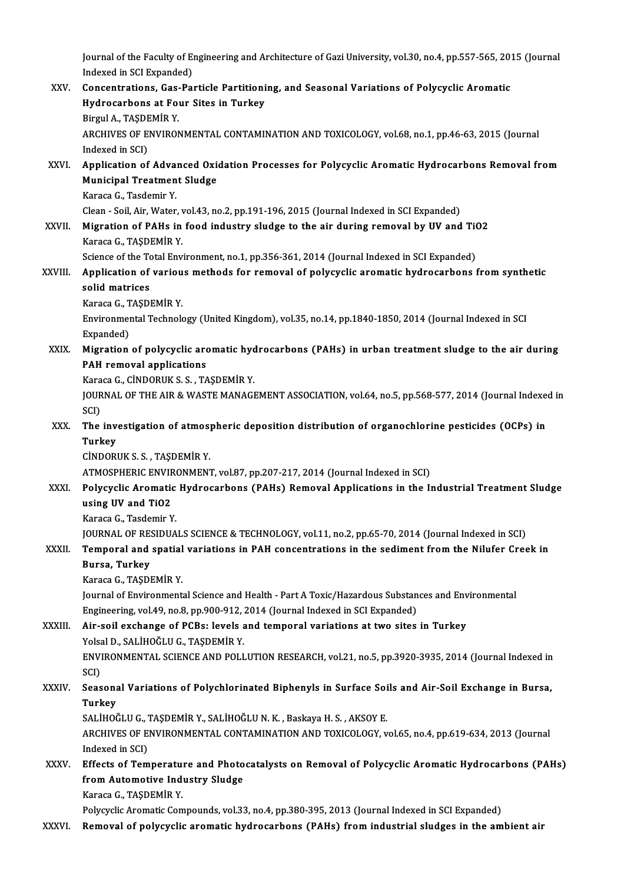Journal of the Faculty of Engineering and Architecture of Gazi University, vol.30, no.4, pp.557-565, 2015 (Journal<br>Indexed in SCL Eunonded) Journal of the Faculty of El<br>Indexed in SCI Expanded)<br>Consentrations, Ges. Pe:

Journal of the Faculty of Engineering and Architecture of Gazi University, vol.30, no.4, pp.557-565, 20:<br>Indexed in SCI Expanded)<br>XXV. Concentrations, Gas-Particle Partitioning, and Seasonal Variations of Polycyclic Aromat Indexed in SCI Expanded)<br>Concentrations, Gas-Particle Partitioni<br>Hydrocarbons at Four Sites in Turkey<br>Birgul A, TASDEMIR V **Concentrations, Gas-<br>Hydrocarbons at Fo**<br>Birgul A., TAŞDEMİR Y.<br>ARCHIVES OF ENVIRON Hydrocarbons at Four Sites in Turkey<br>Birgul A., TAŞDEMİR Y.<br>ARCHIVES OF ENVIRONMENTAL CONTAMINATION AND TOXICOLOGY, vol.68, no.1, pp.46-63, 2015 (Journal<br>Indoved in SCD. Birgul A., TAŞDE<br>ARCHIVES OF E<br>Indexed in SCI)<br>Annlication of ARCHIVES OF ENVIRONMENTAL CONTAMINATION AND TOXICOLOGY, vol.68, no.1, pp.46-63, 2015 (Journal<br>Indexed in SCI)<br>XXVI. Application of Advanced Oxidation Processes for Polycyclic Aromatic Hydrocarbons Removal from<br>Municipal Tr Indexed in SCI)<br>Application of Advanced Oxie<br>Municipal Treatment Sludge<br>Karasa C. Teedemir V Application of Adva:<br>Municipal Treatmen<br>Karaca G., Tasdemir Y.<br>Clean - Seil Air Water Municipal Treatment Sludge<br>Karaca G., Tasdemir Y.<br>Clean - Soil, Air, Water, vol.43, no.2, pp.191-196, 2015 (Journal Indexed in SCI Expanded)<br>Migration of PAHs in food industry sludge to the air during remeval by UV and Karaca G., Tasdemir Y.<br>Clean - Soil, Air, Water, vol.43, no.2, pp.191-196, 2015 (Journal Indexed in SCI Expanded)<br>XXVII. Migration of PAHs in food industry sludge to the air during removal by UV and TiO2<br>Karaca G. TASDEMiP Clean - Soil, Air, Water, v.<br>Migration of PAHs in<br>Karaca G., TAŞDEMİR Y.<br>Ssianse of the Total Env Migration of PAHs in food industry sludge to the air during removal by UV and Tit<br>Karaca G., TAŞDEMİR Y.<br>Science of the Total Environment, no.1, pp.356-361, 2014 (Journal Indexed in SCI Expanded)<br>Annligation of various mat Karaca G., TAŞDEMİR Y.<br>Science of the Total Environment, no.1, pp.356-361, 2014 (Journal Indexed in SCI Expanded)<br>XXVIII. Application of various methods for removal of polycyclic aromatic hydrocarbons from synthetic<br>ca Science of the To<br>Application of<br>solid matrices<br>Karaga G. TASDI Application of variou<br>solid matrices<br>Karaca G., TAŞDEMİR Y.<br>Environmental Teshnek solid matrices<br>Karaca G., TAŞDEMİR Y.<br>Environmental Technology (United Kingdom), vol.35, no.14, pp.1840-1850, 2014 (Journal Indexed in SCI<br>Expanded) Karaca G., TAŞDEMİR Y. Environmental Technology (United Kingdom), vol.35, no.14, pp.1840-1850, 2014 (Journal Indexed in SCI<br>Expanded)<br>XXIX. Migration of polycyclic aromatic hydrocarbons (PAHs) in urban treatment sludge to the air during<br>RAH remo Expanded)<br>Migration of polycyclic arc<br>PAH removal applications<br>Karasa C. Cinnopuk S.S. TA Migration of polycyclic aromatic hyde<br>PAH removal applications<br>Karaca G., CİNDORUK S. S. , TAŞDEMİR Y.<br>JOUPNAL OF THE AJP & WASTE MANACI PAH removal applications<br>Karaca G., CİNDORUK S. S. , TAŞDEMİR Y.<br>JOURNAL OF THE AIR & WASTE MANAGEMENT ASSOCIATION, vol.64, no.5, pp.568-577, 2014 (Journal Indexed in<br>SCD Kara<br>JOUR<br>SCI)<br>The JOURNAL OF THE AIR & WASTE MANAGEMENT ASSOCIATION, vol.64, no.5, pp.568-577, 2014 (Journal Indexe<br>SCI)<br>XXX. The investigation of atmospheric deposition distribution of organochlorine pesticides (OCPs) in<br>Turkey SCI)<br>The inv<br>Turkey<br>Cinnopi The investigation of atmos<sub>)</sub><br>Turkey<br>CİNDORUK S. S. , TAŞDEMİR Y.<br>ATMOSPUERIC ENVIRONMEN: Turkey<br>CİNDORUK S. S. , TAŞDEMİR Y.<br>ATMOSPHERIC ENVIRONMENT, vol.87, pp.207-217, 2014 (Journal Indexed in SCI) CINDORUK S. S. , TAŞDEMİR Y.<br>ATMOSPHERIC ENVIRONMENT, vol.87, pp.207-217, 2014 (Journal Indexed in SCI)<br>XXXI. Polycyclic Aromatic Hydrocarbons (PAHs) Removal Applications in the Industrial Treatment Sludge<br>weing UV and TiO ATMOSPHERIC ENVIF<br>Polycyclic Aromatic<br>using UV and TiO2<br>Karaca G. Tasdamir Y Polycyclic Aromatic<br>using UV and TiO2<br>Karaca G., Tasdemir Y.<br>JOUPNAL OF PESIDUA using UV and TiO2<br>Karaca G., Tasdemir Y.<br>JOURNAL OF RESIDUALS SCIENCE & TECHNOLOGY, vol.11, no.2, pp.65-70, 2014 (Journal Indexed in SCI)<br>Temperal and apatial variations in PAH consentrations in the sediment from the Niluf Karaca G., Tasdemir Y.<br>JOURNAL OF RESIDUALS SCIENCE & TECHNOLOGY, vol.11, no.2, pp.65-70, 2014 (Journal Indexed in SCI)<br>XXXII. Temporal and spatial variations in PAH concentrations in the sediment from the Nilufer Cree **JOURNAL OF RES**<br>Temporal and<br>Bursa, Turkey<br>Karaga G. TASDI Temporal and spatial<br>Bursa, Turkey<br>Karaca G., TAŞDEMİR Y.<br>Journal of Environment Bursa, Turkey<br>Karaca G., TAŞDEMİR Y.<br>Journal of Environmental Science and Health - Part A Toxic/Hazardous Substances and Environmental<br>Engineening vel 40 no.8 nn 900,912,2014 (Journal Indeved in SCI Eunanded). Karaca G., TAŞDEMİR Y.<br>Journal of Environmental Science and Health - Part A Toxic/Hazardous Substan<br>Engineering, vol.49, no.8, pp.900-912, 2014 (Journal Indexed in SCI Expanded)<br>Air, soil exchange of BCBs: Joyels and tempo Journal of Environmental Science and Health - Part A Toxic/Hazardous Substances and Env<br>Engineering, vol.49, no.8, pp.900-912, 2014 (Journal Indexed in SCI Expanded)<br>XXXIII. Air-soil exchange of PCBs: levels and temporal v Engineering, vol.49, no.8, pp.900-912, <br>Air-soil exchange of PCBs: levels a<br>Yolsal D., SALİHOĞLU G., TAŞDEMİR Y.<br>ENVIRONMENTAL SCIENCE AND POLL Air-soil exchange of PCBs: levels and temporal variations at two sites in Turkey<br>Yolsal D., SALİHOĞLU G., TAŞDEMİR Y.<br>ENVIRONMENTAL SCIENCE AND POLLUTION RESEARCH, vol.21, no.5, pp.3920-3935, 2014 (Journal Indexed in<br>SCD Yolsa<br>ENVI<br>SCI)<br>Sees ENVIRONMENTAL SCIENCE AND POLLUTION RESEARCH, vol.21, no.5, pp.3920-3935, 2014 (Journal Indexed in<br>SCI)<br>XXXIV. Seasonal Variations of Polychlorinated Biphenyls in Surface Soils and Air-Soil Exchange in Bursa,<br>Turkey SCI)<br>Seasona<br>Turkey<br>SAI iuoč Seasonal Variations of Polychlorinated Biphenyls in Surface Soi<br>Turkey<br>SALİHOĞLU G., TAŞDEMİR Y., SALİHOĞLU N. K. , Baskaya H. S. , AKSOY E.<br>ARCHIVES OF ENVIRONMENTAL CONTAMINATION AND TOVICOLOCY .. Turkey<br>SALİHOĞLU G., TAŞDEMİR Y., SALİHOĞLU N. K. , Baskaya H. S. , AKSOY E.<br>ARCHIVES OF ENVIRONMENTAL CONTAMINATION AND TOXICOLOGY, vol.65, no.4, pp.619-634, 2013 (Journal<br>Indexed in SCI) SALİHOĞLU G., TAŞDEMİR Y., SALİHOĞLU N. K., Baskaya H. S., AKSOY E. ARCHIVES OF ENVIRONMENTAL CONTAMINATION AND TOXICOLOGY, vol.65, no.4, pp.619-634, 2013 (Journal<br>Indexed in SCI)<br>XXXV. Effects of Temperature and Photocatalysts on Removal of Polycyclic Aromatic Hydrocarbons (PAHs) Indexed in SCI)<br>Effects of Temperature and Photo<br>from Automotive Industry Sludge<br>Kanasa C. TASDEMin v from Automotive Industry Sludge<br>Karaca G., TAŞDEMİR Y. Polycyclic Aromatic Compounds, vol.33, no.4, pp.380-395, 2013 (Journal Indexed in SCI Expanded)

XXXVI. Removal of polycyclic aromatic hydrocarbons (PAHs) fromindustrial sludges in the ambient air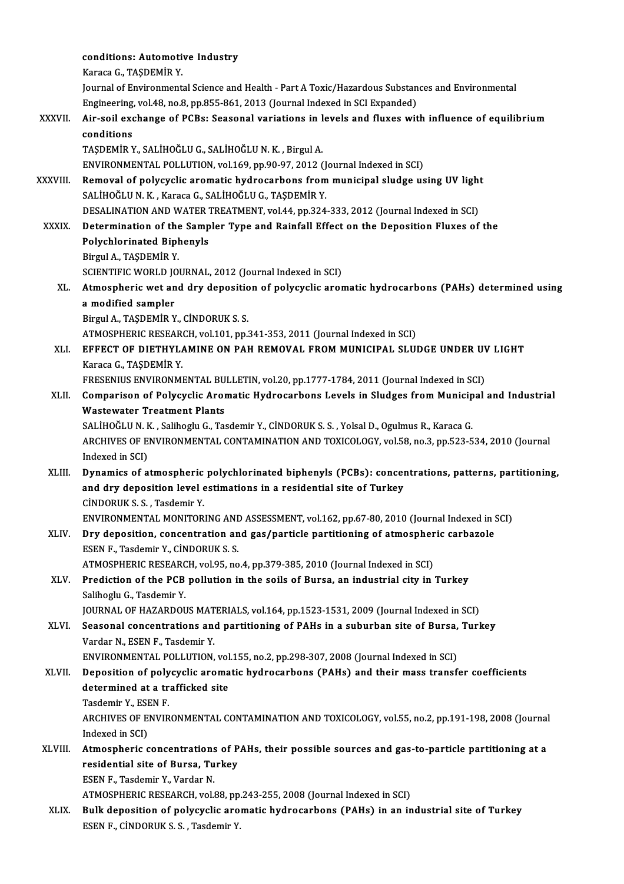|              | conditions: Automotive Industry                                                                   |
|--------------|---------------------------------------------------------------------------------------------------|
|              | Karaca G., TAŞDEMİR Y.                                                                            |
|              | Journal of Environmental Science and Health - Part A Toxic/Hazardous Substances and Environmental |
|              | Engineering, vol.48, no.8, pp.855-861, 2013 (Journal Indexed in SCI Expanded)                     |
| XXXVII.      | Air-soil exchange of PCBs: Seasonal variations in levels and fluxes with influence of equilibrium |
|              | conditions                                                                                        |
|              | TAŞDEMİR Y., SALİHOĞLU G., SALİHOĞLU N. K., Birgul A.                                             |
|              | ENVIRONMENTAL POLLUTION, vol.169, pp.90-97, 2012 (Journal Indexed in SCI)                         |
| XXXVIII.     | Removal of polycyclic aromatic hydrocarbons from municipal sludge using UV light                  |
|              | SALİHOĞLU N.K., Karaca G., SALİHOĞLU G., TAŞDEMİR Y.                                              |
|              | DESALINATION AND WATER TREATMENT, vol.44, pp.324-333, 2012 (Journal Indexed in SCI)               |
| <b>XXXIX</b> | Determination of the Sampler Type and Rainfall Effect on the Deposition Fluxes of the             |
|              | <b>Polychlorinated Biphenyls</b>                                                                  |
|              | Birgul A., TAŞDEMİR Y.                                                                            |
|              | SCIENTIFIC WORLD JOURNAL, 2012 (Journal Indexed in SCI)                                           |
| XL.          | Atmospheric wet and dry deposition of polycyclic aromatic hydrocarbons (PAHs) determined using    |
|              | a modified sampler                                                                                |
|              | Birgul A., TAŞDEMİR Y., CİNDORUK S. S.                                                            |
|              | ATMOSPHERIC RESEARCH, vol.101, pp.341-353, 2011 (Journal Indexed in SCI)                          |
| XLI.         | EFFECT OF DIETHYLAMINE ON PAH REMOVAL FROM MUNICIPAL SLUDGE UNDER UV LIGHT                        |
|              | Karaca G., TAŞDEMİR Y.                                                                            |
|              | FRESENIUS ENVIRONMENTAL BULLETIN, vol.20, pp.1777-1784, 2011 (Journal Indexed in SCI)             |
| XLII.        | Comparison of Polycyclic Aromatic Hydrocarbons Levels in Sludges from Municipal and Industrial    |
|              | <b>Wastewater Treatment Plants</b>                                                                |
|              | SALİHOĞLU N. K., Salihoglu G., Tasdemir Y., CİNDORUK S. S., Yolsal D., Ogulmus R., Karaca G.      |
|              | ARCHIVES OF ENVIRONMENTAL CONTAMINATION AND TOXICOLOGY, vol.58, no.3, pp.523-534, 2010 (Journal   |
|              | Indexed in SCI)                                                                                   |
| XLIII.       | Dynamics of atmospheric polychlorinated biphenyls (PCBs): concentrations, patterns, partitioning, |
|              |                                                                                                   |
|              | and dry deposition level estimations in a residential site of Turkey                              |
|              | CINDORUK S.S., Tasdemir Y.                                                                        |
|              | ENVIRONMENTAL MONITORING AND ASSESSMENT, vol.162, pp.67-80, 2010 (Journal Indexed in SCI)         |
| XLIV.        | Dry deposition, concentration and gas/particle partitioning of atmospheric carbazole              |
|              | ESEN F., Tasdemir Y., CİNDORUK S. S.                                                              |
|              | ATMOSPHERIC RESEARCH, vol.95, no.4, pp.379-385, 2010 (Journal Indexed in SCI)                     |
| XLV.         | Prediction of the PCB pollution in the soils of Bursa, an industrial city in Turkey               |
|              | Salihoglu G., Tasdemir Y.                                                                         |
|              | JOURNAL OF HAZARDOUS MATERIALS, vol.164, pp.1523-1531, 2009 (Journal Indexed in SCI)              |
| XLVI.        | Seasonal concentrations and partitioning of PAHs in a suburban site of Bursa, Turkey              |
|              | Vardar N., ESEN F., Tasdemir Y.                                                                   |
|              | ENVIRONMENTAL POLLUTION, vol.155, no.2, pp.298-307, 2008 (Journal Indexed in SCI)                 |
| XLVII.       | Deposition of polycyclic aromatic hydrocarbons (PAHs) and their mass transfer coefficients        |
|              | determined at a trafficked site                                                                   |
|              | Tasdemir Y., ESEN F.                                                                              |
|              | ARCHIVES OF ENVIRONMENTAL CONTAMINATION AND TOXICOLOGY, vol.55, no.2, pp.191-198, 2008 (Journal   |
|              | Indexed in SCI)                                                                                   |
| XLVIII.      | Atmospheric concentrations of PAHs, their possible sources and gas-to-particle partitioning at a  |
|              | residential site of Bursa, Turkey                                                                 |
|              | ESEN F., Tasdemir Y., Vardar N.                                                                   |
|              | ATMOSPHERIC RESEARCH, vol.88, pp.243-255, 2008 (Journal Indexed in SCI)                           |
| XLIX.        | Bulk deposition of polycyclic aromatic hydrocarbons (PAHs) in an industrial site of Turkey        |
|              | ESEN F., CİNDORUK S. S., Tasdemir Y.                                                              |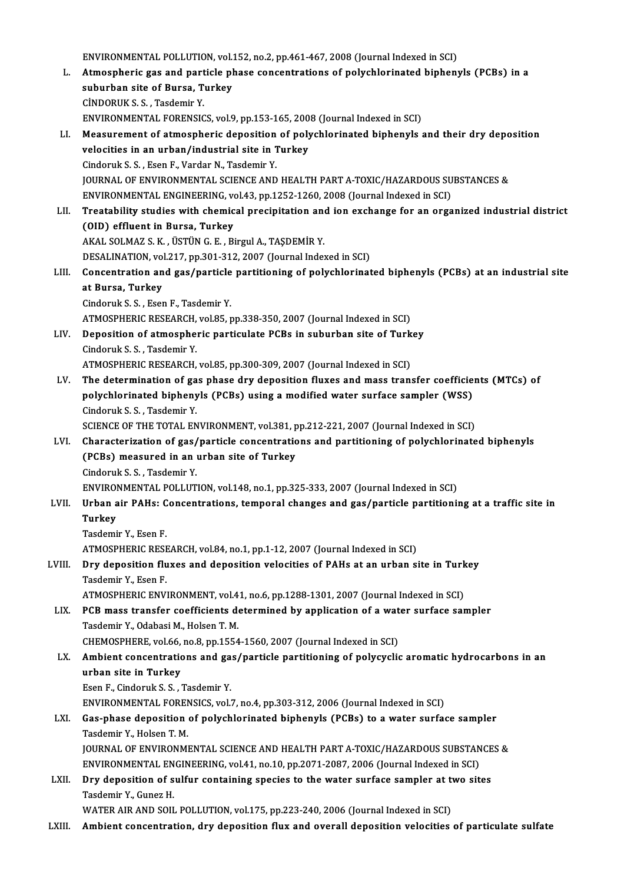ENVIRONMENTAL POLLUTION, vol.152, no.2, pp.461-467, 2008 (Journal Indexed in SCI)<br>Atmospheric gas and particle phase sensentrations of polyghlarinated binhany L. Atmospheric gas and particle phase concentrations of polychlorinated biphenyls (PCBs) in a ENVIRONMENTAL POLLUTION, vol.<br>Atmospheric gas and particle pl<br>suburban site of Bursa, Turkey<br>C<sup>INDOBUK</sub> S S. Tecdemir V</sup> suburban site of Bursa, Turkey<br>CİNDORUK S. S. . Tasdemir Y. suburban site of Bursa, Turkey<br>CİNDORUK S. S. , Tasdemir Y.<br>ENVIRONMENTAL FORENSICS, vol.9, pp.153-165, 2008 (Journal Indexed in SCI)<br>Measurement of atmospheric denosition of polychlerinated binhenyls ; LI. Measurement of atmospheric deposition of polychlorinated biphenyls and their dry deposition ENVIRONMENTAL FORENSICS, vol.9, pp.153-165, 200<br>Measurement of atmospheric deposition of poly<br>velocities in an urban/industrial site in Turkey<br>Gindoruk S. S. Fson E. Vardar N. Tecdomir V. velocities in an urban/industrial site in Turkey<br>Cindoruk S. S., Esen F., Vardar N., Tasdemir Y. JOURNAL OF ENVIRONMENTAL SCIENCE AND HEALTH PART A-TOXIC/HAZARDOUS SUBSTANCES & ENVIRONMENTAL ENGINEERING, vol.43, pp.1252-1260, 2008 (Journal Indexed in SCI) JOURNAL OF ENVIRONMENTAL SCIENCE AND HEALTH PART A-TOXIC/HAZARDOUS SUBSTANCES &<br>ENVIRONMENTAL ENGINEERING, vol.43, pp.1252-1260, 2008 (Journal Indexed in SCI)<br>LII. Treatability studies with chemical precipitation and ion e ENVIRONMENTAL ENGINEERING, vo<br>Treatability studies with chemic<br>(OID) effluent in Bursa, Turkey<br>AKAL SOLMAZ S. K., USTUNG E., B3 Treatability studies with chemical precipitation and<br>(OID) effluent in Bursa, Turkey<br>AKAL SOLMAZ S. K., ÜSTÜN G. E., Birgul A., TAŞDEMİR Y.<br>DESALINATION vol 217, pp.201,212,2007 (Journal Indo (OID) effluent in Bursa, Turkey<br>AKAL SOLMAZ S. K. , ÜSTÜN G. E. , Birgul A., TAŞDEMİR Y.<br>DESALINATION, vol.217, pp.301-312, 2007 (Journal Indexed in SCI)<br>Consentration and see (pertisle pertitioning of polyshlerinet AKAL SOLMAZ S. K. , ÜSTÜN G. E. , Birgul A., TAŞDEMİR Y.<br>DESALINATION, vol.217, pp.301-312, 2007 (Journal Indexed in SCI)<br>LIII. Concentration and gas/particle partitioning of polychlorinated biphenyls (PCBs) at an indu **DESALINATION, vol<br>Concentration and<br>at Bursa, Turkey<br>Cinderuls S. Esse** Concentration and gas/particle<br>at Bursa, Turkey<br>Cindoruk S. S. , Esen F., Tasdemir Y.<br>ATMOSPUEDIC RESEARCH vol.95 at Bursa, Turkey<br>Cindoruk S. S. , Esen F., Tasdemir Y.<br>ATMOSPHERIC RESEARCH, vol.85, pp.338-350, 2007 (Journal Indexed in SCI) Cindoruk S. S., Esen F., Tasdemir Y.<br>ATMOSPHERIC RESEARCH, vol.85, pp.338-350, 2007 (Journal Indexed in SCI)<br>LIV. Deposition of atmospheric particulate PCBs in suburban site of Turkey<br>Cindomk S. S. Tasdamin Y. ATMOSPHERIC RESEARCH,<br>Deposition of atmosphe:<br>Cindoruk S. S. , Tasdemir Y.<br>ATMOSPHEPIC RESEARCH Deposition of atmospheric particulate PCBs in suburban site of Turk<br>Cindoruk S. S. , Tasdemir Y.<br>ATMOSPHERIC RESEARCH, vol.85, pp.300-309, 2007 (Journal Indexed in SCI)<br>The determination of Tas phase dry deposition fluxes Cindoruk S. S. , Tasdemir Y.<br>ATMOSPHERIC RESEARCH, vol.85, pp.300-309, 2007 (Journal Indexed in SCI)<br>LV. The determination of gas phase dry deposition fluxes and mass transfer coefficients (MTCs) of ATMOSPHERIC RESEARCH, vol.85, pp.300-309, 2007 (Journal Indexed in SCI)<br>The determination of gas phase dry deposition fluxes and mass transfer coefficie<br>polychlorinated biphenyls (PCBs) using a modified water surface sampl The determination of ga<br>polychlorinated bipheny<br>Cindoruk S.S., Tasdemir Y.<br>SCIENCE OF THE TOTAL EN polychlorinated biphenyls (PCBs) using a modified water surface sampler (WSS)<br>Cindoruk S. S. , Tasdemir Y.<br>SCIENCE OF THE TOTAL ENVIRONMENT, vol.381, pp.212-221, 2007 (Journal Indexed in SCI)<br>Characterization of see (parti Cindoruk S. S. , Tasdemir Y.<br>SCIENCE OF THE TOTAL ENVIRONMENT, vol.381, pp.212-221, 2007 (Journal Indexed in SCI)<br>LVI. Characterization of gas/particle concentrations and partitioning of polychlorinated biphenyls<br>(PCPs) me SCIENCE OF THE TOTAL ENVIRONMENT, vol.381, p<br>Characterization of gas/particle concentratio<br>(PCBs) measured in an urban site of Turkey Characterization of gas/<br>(PCBs) measured in an<br>Cindoruk S.S., Tasdemir Y.<br>ENWIRONMENTAL POLLUT (PCBs) measured in an urban site of Turkey<br>Cindoruk S. S. , Tasdemir Y.<br>ENVIRONMENTAL POLLUTION, vol.148, no.1, pp.325-333, 2007 (Journal Indexed in SCI)<br>Urban air PAHs: Consentrations, temporal shanges and gas/partisle pa Cindoruk S. S. , Tasdemir Y.<br>ENVIRONMENTAL POLLUTION, vol.148, no.1, pp.325-333, 2007 (Journal Indexed in SCI)<br>LVII. Urban air PAHs: Concentrations, temporal changes and gas/particle partitioning at a traffic site in<br>Turke ENVIROI<br><mark>Urban</mark> a<br>Turkey<br><sup>Toodomi</sup> Urban air PAHs: C<br>Turkey<br>Tasdemir Y., Esen F.<br>ATMOSDUEDIC DESI Turkey<br>Tasdemir Y., Esen F.<br>ATMOSPHERIC RESEARCH, vol.84, no.1, pp.1-12, 2007 (Journal Indexed in SCI)<br>Day deposition fluves and deposition volositios of PAHs at an urban si Tasdemir Y., Esen F.<br>ATMOSPHERIC RESEARCH, vol.84, no.1, pp.1-12, 2007 (Journal Indexed in SCI)<br>LVIII. Dry deposition fluxes and deposition velocities of PAHs at an urban site in Turkey<br>Tecdomir V. Esen E ATMOSPHERIC RESE<br>Dry deposition flu<br>Tasdemir Y., Esen F.<br>ATMOSPHEPIC ENV. Dry deposition fluxes and deposition velocities of PAHs at an urban site in Turk<br>Tasdemir Y., Esen F.<br>ATMOSPHERIC ENVIRONMENT, vol.41, no.6, pp.1288-1301, 2007 (Journal Indexed in SCI)<br>PCP mass transfor seefficients determ Tasdemir Y., Esen F.<br>ATMOSPHERIC ENVIRONMENT, vol.41, no.6, pp.1288-1301, 2007 (Journal Indexed in SCI)<br>LIX. PCB mass transfer coefficients determined by application of a water surface sampler<br>Tasdamir Y. Odabasi M. Holson ATMOSPHERIC ENVIRONMENT, vol.41, no.6, pp.1288-1301, 2007 (Journal Indexed in SCI)<br>PCB mass transfer coefficients determined by application of a water surface san<br>Tasdemir Y., Odabasi M., Holsen T. M. PCB mass transfer coefficients determined by application of a wat<br>Tasdemir Y., Odabasi M., Holsen T. M.<br>CHEMOSPHERE, vol.66, no.8, pp.1554-1560, 2007 (Journal Indexed in SCI)<br>Ambient concentrations and gas (particle portit Tasdemir Y., Odabasi M., Holsen T. M.<br>CHEMOSPHERE, vol.66, no.8, pp.1554-1560, 2007 (Journal Indexed in SCI)<br>LX. Ambient concentrations and gas/particle partitioning of polycyclic aromatic hydrocarbons in an<br>urban site CHEMOSPHERE, vol.66, no.8, pp.1554-1560, 2007 (Journal Indexed in SCI)<br>Ambient concentrations and gas/particle partitioning of polycyclic<br>urban site in Turkey<br>Esen F., Cindoruk S. S., Tasdemir Y. Ambient concentrations and ga<br>urban site in Turkey<br>Esen F., Cindoruk S. S. , Tasdemir Y.<br>ENVIRONMENTAL EORENSICS vol urban site in Turkey<br>Esen F., Cindoruk S. S. , Tasdemir Y.<br>ENVIRONMENTAL FORENSICS, vol.7, no.4, pp.303-312, 2006 (Journal Indexed in SCI)<br>Cas phase deposition of polychlorinated binhenyls (BCBs) to a water surfe LXI. Gas-phase deposition of polychlorinated biphenyls (PCBs) to a water surface sampler<br>Tasdemir Y., Holsen T. M. ENVIRONMENTAL FOREN<br>Gas-phase deposition<br>Tasdemir Y., Holsen T. M.<br>JOUPNAL OF ENVIRONM Gas-phase deposition of polychlorinated biphenyls (PCBs) to a water surface sampler<br>Tasdemir Y., Holsen T. M.<br>JOURNAL OF ENVIRONMENTAL SCIENCE AND HEALTH PART A-TOXIC/HAZARDOUS SUBSTANCES &<br>ENVIRONMENTAL ENCINEERING yol.41 Tasdemir Y., Holsen T. M.<br>JOURNAL OF ENVIRONMENTAL SCIENCE AND HEALTH PART A-TOXIC/HAZARDOUS SUBSTAN<br>ENVIRONMENTAL ENGINEERING, vol.41, no.10, pp.2071-2087, 2006 (Journal Indexed in SCI)<br>Day denosition of sulfur containing JOURNAL OF ENVIRONMENTAL SCIENCE AND HEALTH PART A-TOXIC/HAZARDOUS SUBSTANCE<br>ENVIRONMENTAL ENGINEERING, vol.41, no.10, pp.2071-2087, 2006 (Journal Indexed in SCI)<br>LXII. Dry deposition of sulfur containing species to the wa ENVIRONMENTAL EN<br>Dry deposition of s<br>Tasdemir Y., Gunez H.<br>WATER AIR AND SOU Tasdemir Y., Gunez H.<br>WATER AIR AND SOIL POLLUTION, vol.175, pp.223-240, 2006 (Journal Indexed in SCI)

LXIII. Ambient concentration, dry deposition flux and overall deposition velocities of particulate sulfate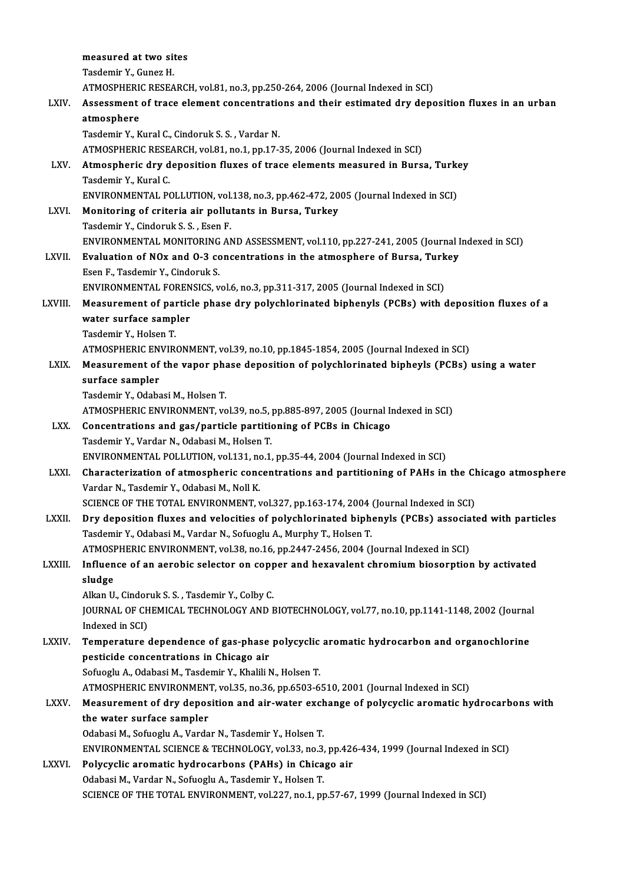|              | measured at two sites                                                                                                                               |
|--------------|-----------------------------------------------------------------------------------------------------------------------------------------------------|
|              | Tasdemir Y., Gunez H.                                                                                                                               |
|              | ATMOSPHERIC RESEARCH, vol.81, no.3, pp.250-264, 2006 (Journal Indexed in SCI)                                                                       |
| LXIV.        | Assessment of trace element concentrations and their estimated dry deposition fluxes in an urban                                                    |
|              | atmosphere                                                                                                                                          |
|              | Tasdemir Y., Kural C., Cindoruk S. S., Vardar N.                                                                                                    |
|              | ATMOSPHERIC RESEARCH, vol.81, no.1, pp.17-35, 2006 (Journal Indexed in SCI)                                                                         |
| LXV.         | Atmospheric dry deposition fluxes of trace elements measured in Bursa, Turkey                                                                       |
|              | Tasdemir Y., Kural C.                                                                                                                               |
|              | ENVIRONMENTAL POLLUTION, vol.138, no.3, pp.462-472, 2005 (Journal Indexed in SCI)                                                                   |
| LXVI.        | Monitoring of criteria air pollutants in Bursa, Turkey                                                                                              |
|              | Tasdemir Y., Cindoruk S. S., Esen F.                                                                                                                |
|              | ENVIRONMENTAL MONITORING AND ASSESSMENT, vol.110, pp.227-241, 2005 (Journal Indexed in SCI)                                                         |
| LXVII.       | Evaluation of NOx and O-3 concentrations in the atmosphere of Bursa, Turkey                                                                         |
|              | Esen F., Tasdemir Y., Cindoruk S.                                                                                                                   |
|              | ENVIRONMENTAL FORENSICS, vol.6, no.3, pp.311-317, 2005 (Journal Indexed in SCI)                                                                     |
| LXVIII.      | Measurement of particle phase dry polychlorinated biphenyls (PCBs) with deposition fluxes of a                                                      |
|              | water surface sampler                                                                                                                               |
|              | Tasdemir Y, Holsen T.                                                                                                                               |
|              | ATMOSPHERIC ENVIRONMENT, vol.39, no.10, pp.1845-1854, 2005 (Journal Indexed in SCI)                                                                 |
| LXIX.        | Measurement of the vapor phase deposition of polychlorinated bipheyls (PCBs) using a water                                                          |
|              | surface sampler                                                                                                                                     |
|              | Tasdemir Y., Odabasi M., Holsen T.                                                                                                                  |
| LXX.         | ATMOSPHERIC ENVIRONMENT, vol.39, no.5, pp.885-897, 2005 (Journal Indexed in SCI)<br>Concentrations and gas/particle partitioning of PCBs in Chicago |
|              | Tasdemir Y., Vardar N., Odabasi M., Holsen T.                                                                                                       |
|              | ENVIRONMENTAL POLLUTION, vol.131, no.1, pp.35-44, 2004 (Journal Indexed in SCI)                                                                     |
| LXXI.        | Characterization of atmospheric concentrations and partitioning of PAHs in the Chicago atmosphere                                                   |
|              | Vardar N., Tasdemir Y., Odabasi M., Noll K.                                                                                                         |
|              | SCIENCE OF THE TOTAL ENVIRONMENT, vol.327, pp.163-174, 2004 (Journal Indexed in SCI)                                                                |
| <b>LXXII</b> | Dry deposition fluxes and velocities of polychlorinated biphenyls (PCBs) associated with particles                                                  |
|              | Tasdemir Y., Odabasi M., Vardar N., Sofuoglu A., Murphy T., Holsen T.                                                                               |
|              | ATMOSPHERIC ENVIRONMENT, vol.38, no.16, pp.2447-2456, 2004 (Journal Indexed in SCI)                                                                 |
| LXXIII.      | Influence of an aerobic selector on copper and hexavalent chromium biosorption by activated                                                         |
|              | sludge                                                                                                                                              |
|              | Alkan U., Cindoruk S. S., Tasdemir Y., Colby C.                                                                                                     |
|              | JOURNAL OF CHEMICAL TECHNOLOGY AND BIOTECHNOLOGY, vol.77, no.10, pp.1141-1148, 2002 (Journal                                                        |
|              | Indexed in SCI)                                                                                                                                     |
| <b>LXXIV</b> | Temperature dependence of gas-phase polycyclic aromatic hydrocarbon and organochlorine                                                              |
|              | pesticide concentrations in Chicago air                                                                                                             |
|              | Sofuoglu A., Odabasi M., Tasdemir Y., Khalili N., Holsen T.                                                                                         |
|              | ATMOSPHERIC ENVIRONMENT, vol.35, no.36, pp.6503-6510, 2001 (Journal Indexed in SCI)                                                                 |
| <b>LXXV</b>  | Measurement of dry deposition and air-water exchange of polycyclic aromatic hydrocarbons with                                                       |
|              | the water surface sampler                                                                                                                           |
|              | Odabasi M., Sofuoglu A., Vardar N., Tasdemir Y., Holsen T.                                                                                          |
|              | ENVIRONMENTAL SCIENCE & TECHNOLOGY, vol.33, no.3, pp.426-434, 1999 (Journal Indexed in SCI)                                                         |
| <b>LXXVI</b> | Polycyclic aromatic hydrocarbons (PAHs) in Chicago air                                                                                              |
|              | Odabasi M., Vardar N., Sofuoglu A., Tasdemir Y., Holsen T.                                                                                          |
|              | SCIENCE OF THE TOTAL ENVIRONMENT, vol.227, no.1, pp.57-67, 1999 (Journal Indexed in SCI)                                                            |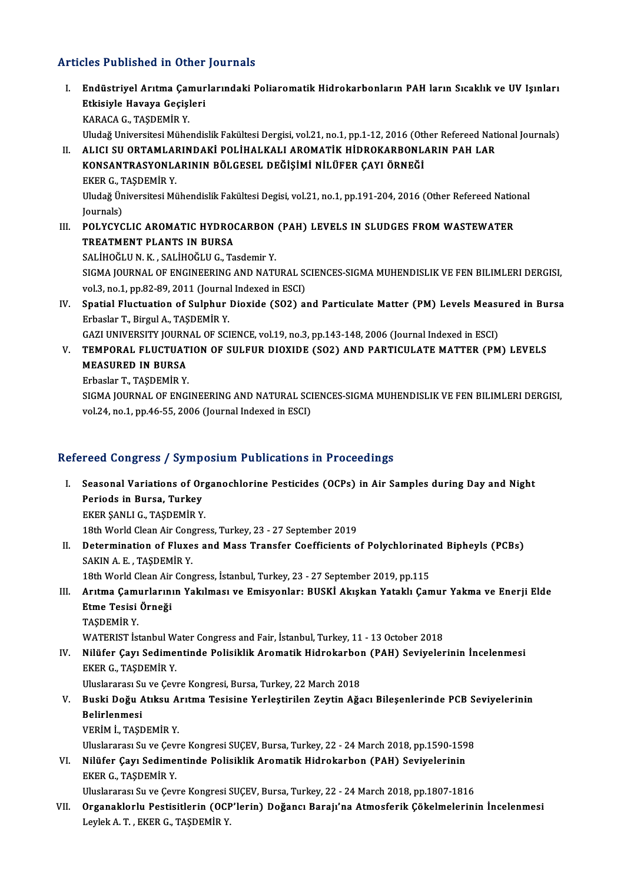### Articles Published in Other Journals

- rticles Published in Other Journals<br>I. Endüstriyel Arıtma Çamurlarındaki Poliaromatik Hidrokarbonların PAH ların Sıcaklık ve UV Işınları<br>Rikisiyle Heyeye Cesisleri Endüstriyel Arıtma Çamur<br>Etkisiyle Havaya Geçişleri<br>KARAÇA Ç. TASDEMİR V Etkisiyle Havaya Geçişleri<br>KARACA G., TAŞDEMİR Y. Uludağ Universitesi Mühendislik Fakültesi Dergisi, vol.21, no.1, pp.1-12, 2016 (Other Refereed National Journals) KARACA G., TAŞDEMİR Y.<br>Uludağ Universitesi Mühendislik Fakültesi Dergisi, vol.21, no.1, pp.1-12, 2016 (Other Refereed Nati<br>II. ALICI SU ORTAMLARINDAKİ POLİHALKALI AROMATİK HİDROKARBONLARIN PAH LAR<br>KONSANTRASYONLARINDAK Uludağ Universitesi Mühendislik Fakültesi Dergisi, vol.21, no.1, pp.1-12, 2016 (Oth<br>ALICI SU ORTAMLARINDAKİ POLİHALKALI AROMATİK HİDROKARBONL.<br>KONSANTRASYONLARININ BÖLGESEL DEĞİŞİMİ NİLÜFER ÇAYI ÖRNEĞİ<br>EKER G. TASDEMİR Y ALICI SU ORTAMLAI<br>KONSANTRASYONLA<br>EKER G., TAŞDEMİR Y.<br>Iludağ Üniversitesi Mi KONSANTRASYONLARININ BÖLGESEL DEĞİŞİMİ NİLÜFER ÇAYI ÖRNEĞİ<br>EKER G., TAŞDEMİR Y.<br>Uludağ Üniversitesi Mühendislik Fakültesi Degisi, vol.21, no.1, pp.191-204, 2016 (Other Refereed National<br>Journale) EKER G., <mark>T</mark><br>Uludağ Ün<br>Journals)<br>POL YCYC Uludağ Üniversitesi Mühendislik Fakültesi Degisi, vol.21, no.1, pp.191-204, 2016 (Other Refereed Natio<br>Journals)<br>III. POLYCYCLIC AROMATIC HYDROCARBON (PAH) LEVELS IN SLUDGES FROM WASTEWATER<br>TREATMENT BLANTS IN RURSA Journals)<br>III. POLYCYCLIC AROMATIC HYDROCARBON (PAH) LEVELS IN SLUDGES FROM WASTEWATER<br>TREATMENT PLANTS IN BURSA SALİHOĞLUN.K., SALİHOĞLU G., Tasdemir Y. TREATMENT PLANTS IN BURSA<br>SALİHOĞLU N. K. , SALİHOĞLU G., Tasdemir Y.<br>SIGMA JOURNAL OF ENGINEERING AND NATURAL SCIENCES-SIGMA MUHENDISLIK VE FEN BILIMLERI DERGISI,<br>VAL3, PR.1, PR.93, 80, 2011 (Journal Indoved in ESC). SALİHOĞLU N. K. , SALİHOĞLU G., Tasdemir Y.<br>SIGMA JOURNAL OF ENGINEERING AND NATURAL SO<br>vol.3, no.1, pp.82-89, 2011 (Journal Indexed in ESCI)<br>Spatial Elustuation of Sulphur Dioxide (SO2) 21 SIGMA JOURNAL OF ENGINEERING AND NATURAL SCIENCES-SIGMA MUHENDISLIK VE FEN BILIMLERI DERGISI,<br>vol.3, no.1, pp.82-89, 2011 (Journal Indexed in ESCI)<br>IV. Spatial Fluctuation of Sulphur Dioxide (SO2) and Particulate Matter (P vol.3, no.1, pp.82-89, 2011 (Journal)<br>Spatial Fluctuation of Sulphur<br>Erbaslar T., Birgul A., TAŞDEMİR Y.<br>CAZLUNIVERSITY JOURNAL OF SCI Spatial Fluctuation of Sulphur Dioxide (SO2) and Particulate Matter (PM) Levels Measu<br>Erbaslar T., Birgul A., TAŞDEMİR Y.<br>GAZI UNIVERSITY JOURNAL OF SCIENCE, vol.19, no.3, pp.143-148, 2006 (Journal Indexed in ESCI)<br>TEMPORA Erbaslar T., Birgul A., TAŞDEMİR Y.<br>GAZI UNIVERSITY JOURNAL OF SCIENCE, vol.19, no.3, pp.143-148, 2006 (Journal Indexed in ESCI)<br>V. TEMPORAL FLUCTUATION OF SULFUR DIOXIDE (SO2) AND PARTICULATE MATTER (PM) LEVELS<br>MEASUR
- GAZI UNIVERSITY JOURN<br><mark>TEMPORAL FLUCTUAT</mark><br>MEASURED IN BURSA<br>Erbeeler T-TASDEMIR V **TEMPORAL FLUCTUAT<br>MEASURED IN BURSA<br>Erbaslar T., TAŞDEMİR Y.**<br>SICMA JOUPNAL OF ENCI MEASURED IN BURSA<br>Erbaslar T., TAŞDEMİR Y.<br>SIGMA JOURNAL OF ENGINEERING AND NATURAL SCIENCES-SIGMA MUHENDISLIK VE FEN BILIMLERI DERGISI,<br>VR. 34, PR. 1, PR. 46, E.E., 3006 (Journal Indoved in ESCI)

Erbaslar T., TAŞDEMİR Y.<br>SIGMA JOURNAL OF ENGINEERING AND NATURAL SCI<br>vol.24, no.1, pp.46-55, 2006 (Journal Indexed in ESCI)

# vol.24, no.1, pp.46-55, 2006 (Journal Indexed in ESCI)<br>Refereed Congress / Symposium Publications in Proceedings

efereed Congress / Symposium Publications in Proceedings<br>I. Seasonal Variations of Organochlorine Pesticides (OCPs) in Air Samples during Day and Night<br>Periods in Bursa Turkey Periods in Bursa, Turkey<br>Periods in Bursa, Turkey<br>EVEP SANLLO TASDEMIR V Seasonal Variations of Org<br>Periods in Bursa, Turkey<br>EKER ŞANLI G., TAŞDEMİR Y.<br>19th World Clean Air Congre Periods in Bursa, Turkey<br>18th San Collean Air Congress, Turkey, 23 - 27 September 2019<br>18th World Clean Air Congress, Turkey, 23 - 27 September 2019 EKER ŞANLI G., TAŞDEMİR Y.<br>18th World Clean Air Congress, Turkey, 23 - 27 September 2019<br>II. Determination of Fluxes and Mass Transfer Coefficients of Polychlorinated Bipheyls (PCBs)<br>SAKIN A E. TASDEMİR V. 18th World Clean Air Cong<br>Determination of Fluxe<br>SAKIN A.E., TAŞDEMİR Y.<br>19th World Clean Air Cong Determination of Fluxes and Mass Transfer Coefficients of Polychlorinat<br>SAKIN A. E., TAŞDEMİR Y.<br>18th World Clean Air Congress, İstanbul, Turkey, 23 - 27 September 2019, pp.115<br>Aritma Camurlarının Vakilması ve Emisyanları

SAKIN A. E. , TAŞDEMİR Y.<br>18th World Clean Air Congress, İstanbul, Turkey, 23 - 27 September 2019, pp.115<br>III. Arıtma Çamurlarının Yakılması ve Emisyonlar: BUSKİ Akışkan Yataklı Çamur Yakma ve Enerji Elde<br>Etme Tesisi Ö 18th World Clean Air<br>Arıtma Çamurlarını<br>Etme Tesisi Örneği<br>TASDEMİR Y Arıtma Çamı<br>Etme Tesisi<br>TAŞDEMİR Y.<br>WATERIST İs Etme Tesisi Örneği<br>TAŞDEMİR Y.<br>WATERIST İstanbul Water Congress and Fair, İstanbul, Turkey, 11 - 13 October 2018<br>Nilüfan Cavu Sodimentinde Polisiklik Anematik Hidrokarben (PAH) Seviyeler

TAŞDEMİR Y.<br>WATERIST İstanbul Water Congress and Fair, İstanbul, Turkey, 11 - 13 October 2018<br>IV. Nilüfer Çayı Sedimentinde Polisiklik Aromatik Hidrokarbon (PAH) Seviyelerinin İncelenmesi<br>EKER G., TAŞDEMİR Y. WATERIST İstanbul W<br>Nilüfer Çayı Sedime<br>EKER G., TAŞDEMİR Y.<br>Hluelararası Su ve Çavı Nilüfer Çayı Sedimentinde Polisiklik Aromatik Hidrokarboı<br>EKER G., TAŞDEMİR Y.<br>Uluslararası Su ve Çevre Kongresi, Bursa, Turkey, 22 March 2018<br>Buski Dožu Atıksu Anıtma Tesisine Yerlestinilen Zeutin Ağa

EKER G., TAŞDEMİR Y.<br>Uluslararası Su ve Çevre Kongresi, Bursa, Turkey, 22 March 2018<br>V. Buski Doğu Atıksu Arıtma Tesisine Yerleştirilen Zeytin Ağacı Bileşenlerinde PCB Seviyelerinin<br>Pelirlenmesi Uluslararası S<mark>ı</mark><br>Buski Doğu *A*<br>Belirlenmesi<br>VERİM İ. TASE Buski Doğu Atıksu A<br>Belirlenmesi<br>VERİM İ., TAŞDEMİR Y.<br>Hluclararası Su ve Covr Belirlenmesi<br>VERİM İ., TAŞDEMİR Y.<br>Uluslararası Su ve Çevre Kongresi SUÇEV, Bursa, Turkey, 22 - 24 March 2018, pp.1590-1598

VI. Nilüfer Çayı Sedimentinde Polisiklik Aromatik Hidrokarbon (PAH) Seviyelerinin EKERG.,TAŞDEMİRY.

UluslararasıSu veÇevreKongresiSUÇEV,Bursa,Turkey,22 -24March 2018,pp.1807-1816

VII. Organaklorlu Pestisitlerin (OCP'lerin) Doğancı Barajı'na Atmosferik Çökelmelerinin İncelenmesi LeylekA.T. ,EKERG.,TAŞDEMİRY.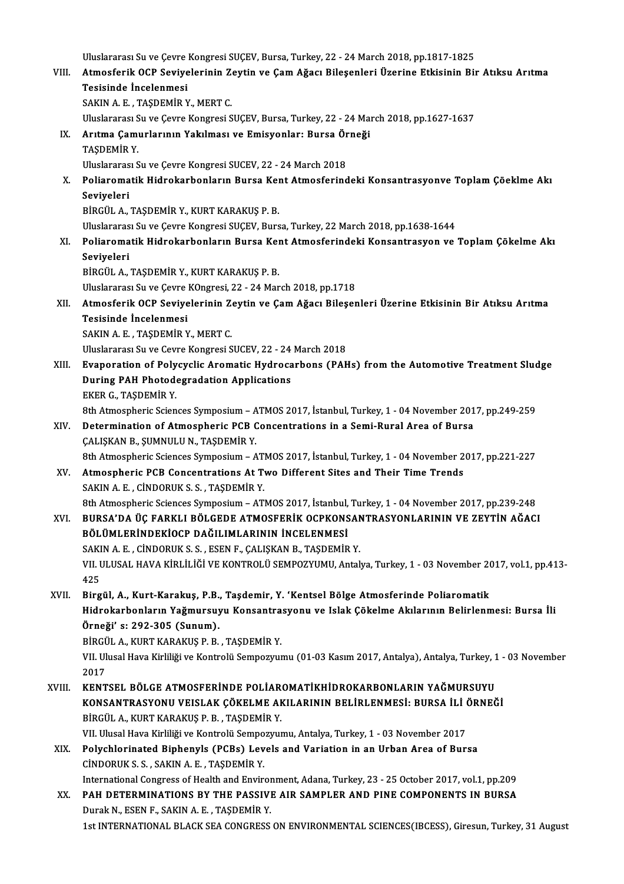Uluslararası Su ve Çevre Kongresi SUÇEV, Bursa, Turkey, 22 - 24 March 2018, pp.1817-1825

- Vluslararası Su ve Çevre Kongresi SUÇEV, Bursa, Turkey, 22 24 March 2018, pp.1817-1825<br>VIII. Atmosferik OCP Seviyelerinin Zeytin ve Çam Ağacı Bileşenleri Üzerine Etkisinin Bir Atıksu Arıtma<br>Tesisinde İngelenmesi Uluslararası Su ve Çevre<br>Atmosferik OCP Seviye<br>Tesisinde İncelenmesi<br>SAKIN A E - TASDEMİR Y Atmosferik OCP Seviyelerinin Z<br>Tesisinde İncelenmesi<br>SAKIN A. E. , TAŞDEMİR Y., MERT C.<br>Hluelarares: Su ve Covre Konsresi S Tesisinde İncelenmesi<br>SAKIN A. E. , TAŞDEMİR Y., MERT C.<br>Uluslararası Su ve Çevre Kongresi SUÇEV, Bursa, Turkey, 22 - 24 March 2018, pp.1627-1637<br>Arıtma Camurlarının Yakılması ve Emisyonları Bursa Örneği SAKIN A. E. , TAŞDEMİR Y., MERT C.<br>Uluslararası Su ve Çevre Kongresi SUÇEV, Bursa, Turkey, 22 - 24 Ma<br>IX. Arıtma Çamurlarının Yakılması ve Emisyonlar: Bursa Örneği<br>TASDEMİR V Uluslararası S<br><mark>Arıtma Çamı</mark><br>TAŞDEMİR Y.<br>Uluslararası S Arıtma Çamurlarının Yakılması ve Emisyonlar: Bursa Ör<br>TAŞDEMİR Y.<br>Uluslararası Su ve Çevre Kongresi SUCEV, 22 - 24 March 2018<br>Poliaromatik Hidrokarbonların Bursa Kont Atmosforind TAŞDEMİR Y.<br>Uluslararası Su ve Çevre Kongresi SUCEV, 22 - 24 March 2018<br>X. Poliaromatik Hidrokarbonların Bursa Kent Atmosferindeki Konsantrasyonve Toplam Çöeklme Akı<br>Soviyeleri
	- Uluslararas<br><mark>Poliaroma</mark><br>Seviyeleri<br>Pipciu A Poliaromatik Hidrokarbonların Bursa Keı<br>Seviyeleri<br>BİRGÜL A., TAŞDEMİR Y., KURT KARAKUŞ P. B.<br>Uluslararası Su ve Cavre Kongresi SUCEV, Burs Seviyeleri<br>BİRGÜL A., TAŞDEMİR Y., KURT KARAKUŞ P. B.<br>Uluslararası Su ve Çevre Kongresi SUÇEV, Bursa, Turkey, 22 March 2018, pp.1638-1644

BİRGÜL A., TAŞDEMİR Y., KURT KARAKUŞ P. B.<br>Uluslararası Su ve Çevre Kongresi SUÇEV, Bursa, Turkey, 22 March 2018, pp.1638-1644<br>XI. Poliaromatik Hidrokarbonların Bursa Kent Atmosferindeki Konsantrasyon ve Toplam Çökelme Uluslararas<br><mark>Poliaroma</mark><br>Seviyeleri<br>Pincíli A Seviyeleri<br>BİRGÜL A., TAŞDEMİR Y., KURT KARAKUŞ P. B.

Uluslararası Su ve Çevre KOngresi, 22 - 24 March 2018, pp.1718

BİRGÜL A., TAŞDEMİR Y., KURT KARAKUŞ P. B.<br>Uluslararası Su ve Çevre KOngresi, 22 - 24 March 2018, pp.1718<br>XII. Atmosferik OCP Seviyelerinin Zeytin ve Çam Ağacı Bileşenleri Üzerine Etkisinin Bir Atıksu Arıtma<br>Tesisinde Uluslararası Su ve Çevre<br>Atmosferik OCP Seviye<br>Tesisinde İncelenmesi<br>SAKIN A E - TASDEMİR Y Atmosferik OCP Seviyelerinin Z<br>Tesisinde İncelenmesi<br>SAKIN A. E. , TAŞDEMİR Y., MERT C.<br>Hluelarares: Su ve Covre Konsresi S Tesisinde İncelenmesi<br>SAKIN A. E. , TAŞDEMİR Y., MERT C.<br>Uluslararası Su ve Cevre Kongresi SUCEV, 22 - 24 March 2018<br>Evanoration of Bolyavelia Aromatis Hydrosarbons (BAH

- SAKIN A. E. , TAŞDEMİR Y., MERT C.<br>Uluslararası Su ve Cevre Kongresi SUCEV, 22 24 March 2018<br>XIII. Evaporation of Polycyclic Aromatic Hydrocarbons (PAHs) from the Automotive Treatment Sludge<br>During PAH Photodogradati Uluslararası Su ve Cevre Kongresi SUCEV, 22 - 24<br>Evaporation of Polycyclic Aromatic Hydroca<br>During PAH Photodegradation Applications<br>FKEP C TASDEMIP V Evaporation of Poly<br>During PAH Photode<br>EKER G., TAŞDEMİR Y.<br><sup>9th Atmosphoris Scien</sup> Buring PAH Photodegradation Applications<br>EKER G., TAŞDEMİR Y.<br>8th Atmospheric Sciences Symposium – ATMOS 2017, İstanbul, Turkey, 1 - 04 November 2017, pp.249-259<br>Determination of Atmospheric PCB Gonsontrations in a Semi Bu EKER G., TAŞDEMİR Y.<br>8th Atmospheric Sciences Symposium – ATMOS 2017, İstanbul, Turkey, 1 - 04 November 201<br>XIV. Determination of Atmospheric PCB Concentrations in a Semi-Rural Area of Bursa
	-
- 8th Atmospheric Sciences Symposium A<br>Determination of Atmospheric PCB (<br>CALIŞKAN B., ŞUMNULU N., TAŞDEMİR Y. Betermination of Atmospheric PCB Concentrations in a Semi-Rural Area of Bursa<br>CALISKAN B., ŞUMNULU N., TAŞDEMİR Y.<br>8th Atmospheric Sciences Symposium – ATMOS 2017, İstanbul, Turkey, 1 - 04 November 2017, pp.221-227<br>Atmosph CALISKAN B., SUMNULU N., TASDEMIR Y.<br>8th Atmospheric Sciences Symposium – ATMOS 2017, İstanbul, Turkey, 1 - 04 November 2<br>XV. Atmospheric PCB Concentrations At Two Different Sites and Their Time Trends<br>SAKIN A E CIND
- 8th Atmospheric Sciences Symposium ATI<br>**Atmospheric PCB Concentrations At T**<br>SAKIN A. E. , CİNDORUK S. S. , TAŞDEMİR Y.<br><sup>9th</sup> Atmospheric Sciences Symposium 8thReformal Atmospheric PCB Concentrations At Two Different Sites and Their Time Trends<br>SAKIN A. E. , CINDORUK S. S. , TAŞDEMIR Y.<br>8th Atmospheric Sciences Symposium – ATMOS 2017, İstanbul, Turkey, 1 - 04 November 2017, pp
- XVI. BURSA'DA ÜÇ FARKLI BÖLGEDE ATMOSFERİK OCPKONSANTRASYONLARININ VE ZEYTİN AĞACI 8th Atmospheric Sciences Symposium – ATMOS 2017, İstanbul,<br>BURSA'DA ÜÇ FARKLI BÖLGEDE ATMOSFERİK OCPKONS<br>BÖLÜMLERİNDEKİOCP DAĞILIMLARININ İNCELENMESİ<br>SAKIN A E. CİNDOPUK S.S. ESEN E. CALISKAN B. TASDEMİP BURSA'DA ÜÇ FARKLI BÖLGEDE ATMOSFERİK OCPKONSAN<br>BÖLÜMLERİNDEKİOCP DAĞILIMLARININ İNCELENMESİ<br>SAKIN A. E. , CİNDORUK S. S. , ESEN F., ÇALIŞKAN B., TAŞDEMİR Y.<br>VIL III USAL HAVA KİRLİLİĞİ VE KONTROLÜ SEMBOZYUMU Artak BÖLÜMLERİNDEKİOCP DAĞILIMLARININ İNCELENMESİ<br>SAKIN A. E. , CİNDORUK S. S. , ESEN F., ÇALIŞKAN B., TAŞDEMİR Y.<br>VII. ULUSAL HAVA KİRLİLİĞİ VE KONTROLÜ SEMPOZYUMU, Antalya, Turkey, 1 - 03 November 2017, vol.1, pp.413-<br>42E

SAKI<br>VII. l<br>425<br>Birg VII. ULUSAL HAVA KİRLİLİĞİ VE KONTROLÜ SEMPOZYUMU, Antalya, Turkey, 1 - 03 November 20<br>425<br>XVII. Birgül, A., Kurt-Karakuş, P.B., Taşdemir, Y. 'Kentsel Bölge Atmosferinde Poliaromatik<br>Hidrokarhanların Yağmunayıyı Kansantras

425<br>XVII. Birgül, A., Kurt-Karakuş, P.B., Taşdemir, Y. 'Kentsel Bölge Atmosferinde Poliaromatik<br>Hidrokarbonların Yağmursuyu Konsantrasyonu ve Islak Çökelme Akılarının Belirlenmesi: Bursa İli Örneği' s: 292-305 (Sunum). Hidrokarbonların Yağmursuyu Konsantra<br>Örneği' s: 292-305 (Sunum).<br>BİRGÜL A., KURT KARAKUŞ P. B. , TAŞDEMİR Y.<br>VIL Ulusal Hava Kirliliği ve Kontrolü Sonnegray

VII. Ulusal Hava Kirliliği ve Kontrolü Sempozyumu (01-03 Kasım 2017, Antalya), Antalya, Turkey, 1 - 03 November<br>2017 BIRGÜ<br>VII. UI<br>2017<br>KENT VII. Ulusal Hava Kirliliği ve Kontrolü Sempozyumu (01-03 Kasım 2017, Antalya), Antalya, Turkey, 1<br>2017<br>XVIII. KENTSEL BÖLGE ATMOSFERİNDE POLİAROMATİKHİDROKARBONLARIN YAĞMURSUYU

- 2017<br>KENTSEL BÖLGE ATMOSFERİNDE POLİAROMATİKHİDROKARBONLARIN YAĞMURSUYU<br>KONSANTRASYONU VEISLAK ÇÖKELME AKILARININ BELİRLENMESİ: BURSA İLİ ÖRNEĞİ<br>RİRÇÜL A, KURT KARAKUS B.P., TASDEMİR V KENTSEL BÖLGE ATMOSFERİNDE POLİAR<br>KONSANTRASYONU VEISLAK ÇÖKELME AH<br>BİRGÜL A., KURT KARAKUŞ P. B. , TAŞDEMİR Y.<br>VILHUSSLHƏVƏ Kirilliği ve Kontrolü Sonnograv KONSANTRASYONU VEISLAK ÇÖKELME AKILARININ BELİRLENMESİ: BURSA İLİ (<br>BİRGÜL A., KURT KARAKUŞ P. B. , TAŞDEMİR Y.<br>VII. Ulusal Hava Kirliliği ve Kontrolü Sempozyumu, Antalya, Turkey, 1 - 03 November 2017<br>Polyshlorinated Binha BİRGÜL A., KURT KARAKUŞ P. B. , TAŞDEMİR Y.<br>1- 103 November 2017 VII. Ulusal Hava Kirliliği ve Kontrolü Sempozyumu, Antalya, Turkey, 1 - 103 November 2017<br>12 XIX. Polychlorinated Biphenyls (PCBs) Levels and Variation i
- CİNDORUKS.S. ,SAKINA.E. ,TAŞDEMİRY. Polychlorinated Biphenyls (PCBs) Levels and Variation in an Urban Area of Bursa<br>CINDORUK S.S., SAKIN A.E., TAŞDEMİR Y.<br>International Congress of Health and Environment, Adana, Turkey, 23 - 25 October 2017, vol.1, pp.209<br>RA
- XX. PAH DETERMINATIONS BY THE PASSIVE AIR SAMPLER AND PINE COMPONENTS IN BURSA<br>Durak N., ESEN F., SAKIN A. E., TAŞDEMİR Y. International Congress of Health and Enviror<br>**PAH DETERMINATIONS BY THE PASSIVI**<br>Durak N., ESEN F., SAKIN A. E. , TAŞDEMİR Y.<br>1st INTERNATIONAL BLACK SEA CONGRESS. 1st INTERNATIONAL BLACK SEA CONGRESS ON ENVIRONMENTAL SCIENCES(IBCESS), Giresun, Turkey, 31 August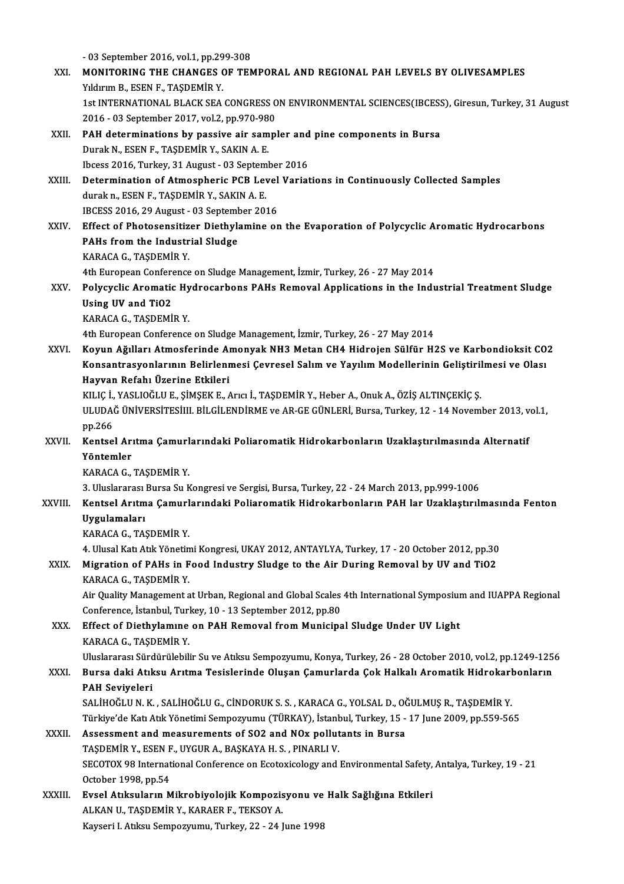-03 September 2016,vol.1,pp.299-308 - 03 September 2016, vol.1, pp.299-308<br>XXI. MONITORING THE CHANGES OF TEMPORAL AND REGIONAL PAH LEVELS BY OLIVESAMPLES - 03 September 2016, vol.1, pp.29<br>**MONITORING THE CHANGES (Y**ıldırım B., ESEN F., TAŞDEMİR Y.<br>1st INTERNATIONAL BLACK SEA MONITORING THE CHANGES OF TEMPORAL AND REGIONAL PAH LEVELS BY OLIVESAMPLES<br>Yıldırım B., ESEN F., TAŞDEMİR Y.<br>1st INTERNATIONAL BLACK SEA CONGRESS ON ENVIRONMENTAL SCIENCES(IBCESS), Giresun, Turkey, 31 August<br>2016–03 Santam Yıldırım B., ESEN F., TAŞDEMİR Y.<br>1st INTERNATIONAL BLACK SEA CONGRESS 0<br>2016 - 03 September 2017, vol.2, pp.970-980<br>BAH determinations by nassive air sampl 1st INTERNATIONAL BLACK SEA CONGRESS ON ENVIRONMENTAL SCIENCES(IBCESS<br>2016 - 03 September 2017, vol.2, pp.970-980<br>XXII. PAH determinations by passive air sampler and pine components in Bursa<br>Durak N. ESEN E. TASDEMIP Y. SA 2016 - 03 September 2017, vol.2, pp.970-980<br>
PAH determinations by passive air sampler and<br>
Durak N., ESEN F., TAŞDEMİR Y., SAKIN A. E.<br>
Ibcess 2016, Turkey, 31 August - 03 September 2016 PAH determinations by passive air sampler and<br>Durak N., ESEN F., TAŞDEMİR Y., SAKIN A. E.<br>Ibcess 2016, Turkey, 31 August - 03 September 2016<br>Determination of Atmospharis PCB I aval Variat Durak N., ESEN F., TAŞDEMİR Y., SAKIN A. E.<br>Ibcess 2016, Turkey, 31 August - 03 September 2016<br>XXIII. Determination of Atmospheric PCB Level Variations in Continuously Collected Samples<br>durak n. ESEN E. TASDEMİR Y. SAKIN A Ibcess 2016, Turkey, 31 August - 03 Septem<br>Determination of Atmospheric PCB Lev<br>durak n., ESEN F., TAŞDEMİR Y., SAKIN A. E.<br>IPCESS 2016-29 August - 02 September 201 Determination of Atmospheric PCB Level<br>durak n., ESEN F., TAŞDEMİR Y., SAKIN A. E.<br>IBCESS 2016, 29 August - 03 September 2016<br>Effect of Photosonsitisor Disthylomine er durak n., ESEN F., TAŞDEMİR Y., SAKIN A. E.<br>IBCESS 2016, 29 August - 03 September 2016<br>XXIV. Effect of Photosensitizer Diethylamine on the Evaporation of Polycyclic Aromatic Hydrocarbons<br>PAHs from the Industrial Sludge IBCESS 2016, 29 August - 03 September 2016 KARACAG.,TAŞDEMİRY. PAHs from the Industrial Sludge<br>KARACA G., TAŞDEMİR Y.<br>4th European Conference on Sludge Management, İzmir, Turkey, 26 - 27 May 2014<br>Polyavelis Arematis Hydroserbens RAHs Pemeval Anplisations in the Indu KARACA G., TAŞDEMİR Y.<br>4th European Conference on Sludge Management, İzmir, Turkey, 26 - 27 May 2014<br>XXV. Polycyclic Aromatic Hydrocarbons PAHs Removal Applications in the Industrial Treatment Sludge<br>Heing HV and TiO2 4th European Confere<br>Polycyclic Aromatic<br>Using UV and TiO2<br>KARACA C. TASDEMİ Polycyclic Aromatic Hy<br>Using UV and TiO2<br>KARACA G., TAŞDEMİR Y.<br>Ath Euronean Conference Using UV and TiO2<br>KARACA G., TAŞDEMİR Y.<br>4th European Conference on Sludge Management, İzmir, Turkey, 26 - 27 May 2014 KARACA G., TAŞDEMİR Y.<br>4th European Conference on Sludge Management, İzmir, Turkey, 26 - 27 May 2014<br>XXVI. Koyun Ağılları Atmosferinde Amonyak NH3 Metan CH4 Hidrojen Sülfür H2S ve Karbondioksit CO2<br>Kansantrasyonlarının Bal 4th European Conference on Sludge Management, İzmir, Turkey, 26 - 27 May 2014<br>Koyun Ağılları Atmosferinde Amonyak NH3 Metan CH4 Hidrojen Sülfür H2S ve Karbondioksit CO<br>Konsantrasyonlarının Belirlenmesi Çevresel Salım ve Ya Koyun Ağılları Atmosferinde Al<br>Konsantrasyonlarının Belirlenı<br>Hayvan Refahı Üzerine Etkileri<br>FULE İ YASLIQĞLUF SİMSEKE Konsantrasyonlarının Belirlenmesi Çevresel Salım ve Yayılım Modellerinin Geliştiril<br>Hayvan Refahı Üzerine Etkileri<br>KILIÇ İ., YASLIOĞLU E., ŞİMŞEK E., Arıcı İ., TAŞDEMİR Y., Heber A., Onuk A., ÖZİŞ ALTINÇEKİÇ Ş.<br>ULUDAĞ ÜNİV Hayvan Refahı Üzerine Etkileri<br>KILIÇ İ., YASLIOĞLU E., ŞİMŞEK E., Arıcı İ., TAŞDEMİR Y., Heber A., Onuk A., ÖZİŞ ALTINÇEKİÇ Ş.<br>ULUDAĞ ÜNİVERSİTESİIII. BİLGİLENDİRME ve AR-GE GÜNLERİ, Bursa, Turkey, 12 - 14 November 2013, v KILIÇ İ.,<br>ULUDA<br>pp.266<br>Kantaa ULUDAĞ ÜNİVERSİTESİIII. BİLGİLENDİRME ve AR-GE GÜNLERİ, Bursa, Turkey, 12 - 14 November 2013, v<br>pp.266<br>XXVII. Kentsel Arıtma Çamurlarındaki Poliaromatik Hidrokarbonların Uzaklaştırılmasında Alternatif<br>vöntemler pp.266<br>Kentsel Ari<br>Yöntemler<br>KARACA C Kentsel Arıtma Çamurl<br>Yöntemler<br>KARACA G., TAŞDEMİR Y.<br>2. Uluslararası Bursa Su K Yöntemler<br>KARACA G., TAŞDEMİR Y.<br>3. Uluslararası Bursa Su Kongresi ve Sergisi, Bursa, Turkey, 22 - 24 March 2013, pp.999-1006<br>Kontasl Autma Camurlarındaki Boliaramatik Hidrokarbanların BAH lar Hasklastırılı KARACA G., TAŞDEMİR Y.<br>3. Uluslararası Bursa Su Kongresi ve Sergisi, Bursa, Turkey, 22 - 24 March 2013, pp.999-1006<br>XXVIII. Kentsel Arıtma Çamurlarındaki Poliaromatik Hidrokarbonların PAH lar Uzaklaştırılmasında Fenton 3. Uluslararası<br>Kentsel Arıtm<br>Uygulamaları<br>KARACA C. TAS Kentsel Arıtma Çamurl<br>Uygulamaları<br>KARACA G., TAŞDEMİR Y.<br>4. Ulusel Katı Atlı Yönetin Uygulamaları<br>KARACA G., TAŞDEMİR Y.<br>4. Ulusal Katı Atık Yönetimi Kongresi, UKAY 2012, ANTAYLYA, Turkey, 17 - 20 October 2012, pp.30<br>Mignation of BAHa in Eood Industry Sludge ta the Air During Berneyal by UV and TiO2 KARACA G., TAŞDEMİR Y.<br>4. Ulusal Katı Atık Yönetimi Kongresi, UKAY 2012, ANTAYLYA, Turkey, 17 - 20 October 2012, pp.30<br>28XIX. Migration of PAHs in Food Industry Sludge to the Air During Removal by UV and TiO2<br>28 4. Ulusal Katı Atık Yönetin<br>Migration of PAHs in F<br>KARACA G., TAŞDEMİR Y.<br>Air Quality Manazamant a Migration of PAHs in Food Industry Sludge to the Air During Removal by UV and TiO2<br>KARACA G., TAŞDEMİR Y.<br>Air Quality Management at Urban, Regional and Global Scales 4th International Symposium and IUAPPA Regional<br>Conferen KARACA G., TAŞDEMİR Y.<br>Air Quality Management at Urban, Regional and Global Scales<br>Conference, İstanbul, Turkey, 10 - 13 September 2012, pp.80<br>Effect of Disthylamıne an PAH Bemoval fram Municina Air Quality Management at Urban, Regional and Global Scales 4th International Symposium<br>Conference, İstanbul, Turkey, 10 - 13 September 2012, pp.80<br>XXX. Effect of Diethylamıne on PAH Removal from Municipal Sludge Under UV Conference, İstanbul, Turl<br><mark>Effect of Diethylamıne</mark><br>KARACA G., TAŞDEMİR Y.<br>Illuclararacı Sürdürülebil KARACA G., TAŞDEMİR Y.<br>Uluslararası Sürdürülebilir Su ve Atıksu Sempozyumu, Konya, Turkey, 26 - 28 October 2010, vol.2, pp.1249-1256 KARACA G., TAŞDEMİR Y.<br>125-Yuluslararası Sürdürülebilir Su ve Atıksu Sempozyumu, Konya, Turkey, 26 - 28 October 2010, vol.2, pp.1249<br>125-XXXI. Bursa daki Atıksu Arıtma Tesislerinde Oluşan Çamurlarda Çok Halkalı Aromati Uluslararası Sürc<br><mark>Bursa daki Atık</mark><br>PAH Seviyeleri<br>s<u>ariyoğun v</u> Bursa daki Atıksu Arıtma Tesislerinde Oluşan Çamurlarda Çok Halkalı Aromatik Hidrokarl<br>PAH Seviyeleri<br>SALİHOĞLU N.K., SALİHOĞLU G., CİNDORUK S. S., KARACA G., YOLSAL D., OĞULMUŞ R., TAŞDEMİR Y.<br>Türkiye'de Katı Atık Yönetim PAH Seviyeleri<br>SALİHOĞLU N. K. , SALİHOĞLU G., CİNDORUK S. S. , KARACA G., YOLSAL D., OĞULMUŞ R., TAŞDEMİR Y.<br>Türkiye'de Katı Atık Yönetimi Sempozyumu (TÜRKAY), İstanbul, Turkey, 15 - 17 June 2009, pp.559-565<br>Assassmant an SALİHOĞLU N. K. , SALİHOĞLU G., CİNDORUK S. S. , KARACA G., YOLSAL D., OĞULMUŞ R., TAŞDEMİR Y.<br>Türkiye'de Katı Atık Yönetimi Sempozyumu (TÜRKAY), İstanbul, Turkey, 15 - 17 June 2009, pp.559-56<br>XXXII. Assessment and mea Türkiye'de Katı Atık Yönetimi Sempozyumu (TÜRKAY), İstanla<br>Assessment and measurements of SO2 and NOx pollut<br>TAŞDEMİR Y., ESEN F., UYGUR A., BAŞKAYA H. S. , PINARLI V.<br>SECOTOV 98 International Conference on Essteviselegy a SECOTOX 98 International Conference on Ecotoxicology and Environmental Safety, Antalya, Turkey, 19 - 21<br>October 1998, pp.54 TAŞDEMİR Y., ESEN F., UYGUR A., BAŞKAYA H. S., PINARLI V. SECOTOX 98 International Conference on Ecotoxicology and Environmental Safety,<br>October 1998, pp.54<br>XXXIII. Evsel Atıksuların Mikrobiyolojik Kompozisyonu ve Halk Sağlığına Etkileri October 1998, pp.54<br><mark>Evsel Atıksuların Mikrobiyolojik Kompozis</mark><br>ALKAN U., TAŞDEMİR Y., KARAER F., TEKSOY A.<br>Kavçeri L.Atıksu Sompozinumu Turkey 22, 24 I ALKAN U., TAŞDEMİR Y., KARAER F., TEKSOY A.<br>Kayseri I. Atıksu Sempozyumu, Turkey, 22 - 24 June 1998